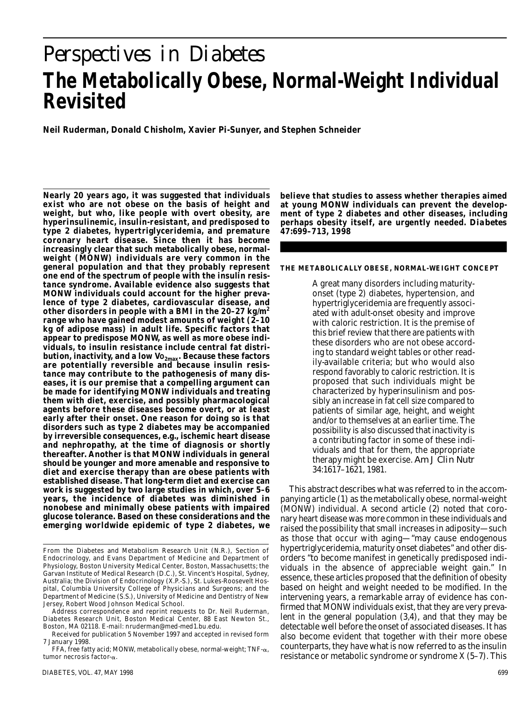# *Perspectives in Diabetes* **The Metabolically Obese, Normal-Weight Individual Revisited**

**Neil Ruderman, Donald Chisholm, Xavier Pi-Sunyer, and Stephen Schneider**

**Nearly 20 years ago, it was suggested that individuals exist who are not obese on the basis of height and weight, but who, like people with overt obesity, are hyperinsulinemic, insulin-resistant, and predisposed to type 2 diabetes, hypertriglyceridemia, and premature coronary heart disease. Since then it has become increasingly clear that such metabolically obese, normalweight (MONW) individuals are very common in the general population and that they probably represent one end of the spectrum of people with the insulin resistance syndrome. Available evidence also suggests that MONW individuals could account for the higher prevalence of type 2 diabetes, cardiovascular disease, and other disorders in people with a BMI in the 20–27 kg/m<sup>2</sup> range who have gained modest amounts of weight (2–10 kg of adipose mass) in adult life. Specific factors that appear to predispose MONW, as well as more obese individuals, to insulin resistance include central fat distri**bution, inactivity, and a low Vo<sub>2max</sub>. Because these factors **are potentially reversible and because insulin resistance may contribute to the pathogenesis of many diseases, it is our premise that a compelling argument can be made for identifying MONW individuals and treating them with diet, exercise, and possibly pharmacological agents before these diseases become overt, or at least early after their onset. One reason for doing so is that disorders such as type 2 diabetes may be accompanied by irreversible consequences, e.g., ischemic heart disease and nephropathy, at the time of diagnosis or shortly thereafter. Another is that MONW individuals in general should be younger and more amenable and responsive to diet and exercise therapy than are obese patients with established disease. That long-term diet and exercise can work is suggested by two large studies in which, over 5–6 years, the incidence of diabetes was diminished in nonobese and minimally obese patients with impaired glucose tolerance. Based on these considerations and the emerging worldwide epidemic of type 2 diabetes, we**

Address correspondence and reprint requests to Dr. Neil Ruderman, Diabetes Research Unit, Boston Medical Center, 88 East Newton St., Boston, MA 02118. E-mail: nruderman@med-med1.bu.edu.

Received for publication 5 November 1997 and accepted in revised form 7 January 1998.

FFA, free fatty acid; MONW, metabolically obese, normal-weight;  $TNF - \alpha$ , tumor necrosis factor- $\alpha$ .

DIABETES, VOL. 47, MAY 1998 699

**believe that studies to assess whether therapies aimed at young MONW individuals can prevent the development of type 2 diabetes and other diseases, including** perhaps obesity itself, are urgently needed. Diabetes **47:699–713, 1998**

#### **THE METABOLICALLY OBESE, NORMAL-WEIGHT CONCEPT**

A great many disorders including maturityonset (type 2) diabetes, hypertension, and hypertriglyceridemia are frequently associated with adult-onset obesity and improve with caloric restriction. It is the premise of this brief review that there are patients with these disorders who are not obese according to standard weight tables or other readily-available criteria; but who would also respond favorably to caloric restriction. It is proposed that such individuals might be characterized by hyperinsulinism and possibly an increase in fat cell size compared to patients of similar age, height, and weight and/or to themselves at an earlier time. The possibility is also discussed that inactivity is a contributing factor in some of these individuals and that for them, the appropriate therapy might be exercise. *Am J Clin Nutr* 34:1617–1621, 1981.

This abstract describes what was referred to in the accompanying article (1) as the metabolically obese, normal-weight (MONW) individual. A second article (2) noted that coronary heart disease was more common in these individuals and raised the possibility that small increases in adiposity—such as those that occur with aging—"may cause endogenous hypertriglyceridemia, maturity onset diabetes" and other disorders "to become manifest in genetically predisposed individuals in the absence of appreciable weight gain." In essence, these articles proposed that the definition of obesity based on height and weight needed to be modified. In the intervening years, a remarkable array of evidence has confirmed that MONW individuals exist, that they are very prevalent in the general population (3,4), and that they may be detectable well before the onset of associated diseases. It has also become evident that together with their more obese counterparts, they have what is now referred to as the insulin resistance or metabolic syndrome or syndrome X (5–7). This

From the Diabetes and Metabolism Research Unit (N.R.), Section of Endocrinology, and Evans Department of Medicine and Department of Physiology, Boston University Medical Center, Boston, Massachusetts; the Garvan Institute of Medical Research (D.C.), St. Vincent's Hospital, Sydney, Australia; the Division of Endocrinology (X.P.-S.), St. Lukes-Roosevelt Hospital, Columbia University College of Physicians and Surgeons; and the Department of Medicine (S.S.), University of Medicine and Dentistry of New Jersey, Robert Wood Johnson Medical School.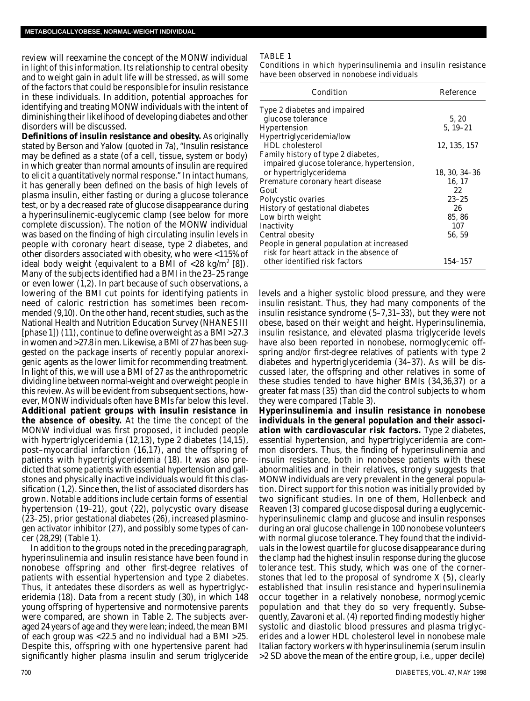review will reexamine the concept of the MONW individual in light of this information. Its relationship to central obesity and to weight gain in adult life will be stressed, as will some of the factors that could be responsible for insulin resistance in these individuals. In addition, potential approaches for identifying and treating MONW individuals with the intent of diminishing their likelihood of developing diabetes and other disorders will be discussed.

**Definitions of insulin resistance and obesity.** As originally stated by Berson and Yalow (quoted in 7a), "Insulin resistance may be defined as a state (of a cell, tissue, system or body) in which greater than normal amounts of insulin are required to elicit a quantitatively normal response." In intact humans, it has generally been defined on the basis of high levels of plasma insulin, either fasting or during a glucose tolerance test, or by a decreased rate of glucose disappearance during a hyperinsulinemic-euglycemic clamp (see below for more complete discussion). The notion of the MONW individual was based on the finding of high circulating insulin levels in people with coronary heart disease, type 2 diabetes, and other disorders associated with obesity, who were <115% of ideal body weight (equivalent to a BMI of <28 kg/m<sup>2</sup> [8]). Many of the subjects identified had a BMI in the 23–25 range or even lower (1,2). In part because of such observations, a lowering of the BMI cut points for identifying patients in need of caloric restriction has sometimes been recommended (9,10). On the other hand, recent studies, such as the National Health and Nutrition Education Survey (NHANES III [phase 1]) (11), continue to define overweight as a BMI >27.3 in women and >27.8 in men. Likewise, a BMI of 27 has been suggested on the package inserts of recently popular anorexigenic agents as the lower limit for recommending treatment. In light of this, we will use a BMI of 27 as the anthropometric dividing line between normal-weight and overweight people in this review. As will be evident from subsequent sections, however, MONW individuals often have BMIs far below this level. **Additional patient groups with insulin resistance in the absence of obesity.** At the time the concept of the MONW individual was first proposed, it included people with hypertriglyceridemia (12,13), type 2 diabetes (14,15), post–myocardial infarction (16,17), and the offspring of patients with hypertriglyceridemia (18). It was also predicted that some patients with essential hypertension and gallstones and physically inactive individuals would fit this classification (1,2). Since then, the list of associated disorders has grown. Notable additions include certain forms of essential hypertension (19–21), gout (22), polycystic ovary disease (23–25), prior gestational diabetes (26), increased plasminogen activator inhibitor (27), and possibly some types of cancer (28,29) (Table 1).

In addition to the groups noted in the preceding paragraph, hyperinsulinemia and insulin resistance have been found in nonobese offspring and other first-degree relatives of patients with essential hypertension and type 2 diabetes. Thus, it antedates these disorders as well as hypertriglyceridemia (18). Data from a recent study (30), in which 148 young offspring of hypertensive and normotensive parents were compared, are shown in Table 2. The subjects averaged 24 years of age and they were lean; indeed, the mean BMI of each group was <22.5 and no individual had a BMI >25. Despite this, offspring with one hypertensive parent had significantly higher plasma insulin and serum triglyceride

#### TABLE 1

Conditions in which hyperinsulinemia and insulin resistance have been observed in nonobese individuals

| Condition                                 | Reference     |
|-------------------------------------------|---------------|
| Type 2 diabetes and impaired              |               |
| glucose tolerance                         | 5, 20         |
| Hypertension                              | $5, 19 - 21$  |
| Hypertriglyceridemia/low                  |               |
| <b>HDL</b> cholesterol                    | 12, 135, 157  |
| Family history of type 2 diabetes,        |               |
| impaired glucose tolerance, hypertension, |               |
| or hypertriglyceridema                    | 18, 30, 34–36 |
| Premature coronary heart disease          | 16, 17        |
| Gout                                      | 22            |
| Polycystic ovaries                        | $23 - 25$     |
| History of gestational diabetes           | 26            |
| Low birth weight                          | 85, 86        |
| Inactivity                                | 107           |
| Central obesity                           | 56, 59        |
| People in general population at increased |               |
| risk for heart attack in the absence of   |               |
| other identified risk factors             | 154-157       |

levels and a higher systolic blood pressure, and they were insulin resistant. Thus, they had many components of the insulin resistance syndrome (5–7,31–33), but they were not obese, based on their weight and height. Hyperinsulinemia, insulin resistance, and elevated plasma triglyceride levels have also been reported in nonobese, normoglycemic offspring and/or first-degree relatives of patients with type 2 diabetes and hypertriglyceridemia (34–37). As will be discussed later, the offspring and other relatives in some of these studies tended to have higher BMIs (34,36,37) or a greater fat mass (35) than did the control subjects to whom they were compared (Table 3).

**Hyperinsulinemia and insulin resistance in nonobese individuals in the general population and their association with cardiovascular risk factors.** Type 2 diabetes, essential hypertension, and hypertriglyceridemia are common disorders. Thus, the finding of hyperinsulinemia and insulin resistance, both in nonobese patients with these abnormalities and in their relatives, strongly suggests that MONW individuals are very prevalent in the general population. Direct support for this notion was initially provided by two significant studies. In one of them, Hollenbeck and Reaven (3) compared glucose disposal during a euglycemichyperinsulinemic clamp and glucose and insulin responses during an oral glucose challenge in 100 nonobese volunteers with normal glucose tolerance. They found that the individuals in the lowest quartile for glucose disappearance during the clamp had the highest insulin response during the glucose tolerance test. This study, which was one of the cornerstones that led to the proposal of syndrome X (5), clearly established that insulin resistance and hyperinsulinemia occur together in a relatively nonobese, normoglycemic population and that they do so very frequently. Subsequently, Zavaroni et al. (4) reported finding modestly higher systolic and diastolic blood pressures and plasma triglycerides and a lower HDL cholesterol level in nonobese male Italian factory workers with hyperinsulinemia (serum insulin >2 SD above the mean of the entire group, i.e., upper decile)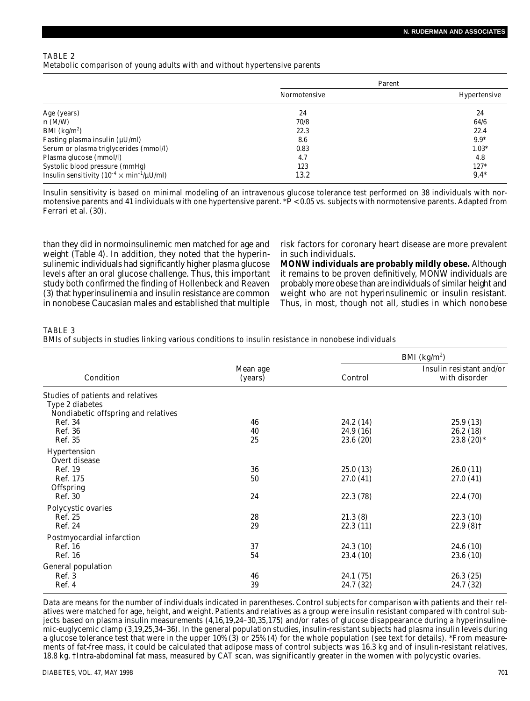## TABLE 2 Metabolic comparison of young adults with and without hypertensive parents

|                                                            | Parent       |              |
|------------------------------------------------------------|--------------|--------------|
|                                                            | Normotensive | Hypertensive |
| Age (years)                                                | 24           | 24           |
| n(M/W)                                                     | 70/8         | 64/6         |
| BMI ( $\text{kg/m}^2$ )                                    | 22.3         | 22.4         |
| Fasting plasma insulin $(\mu U/ml)$                        | 8.6          | $9.9*$       |
| Serum or plasma triglycerides (mmol/l)                     | 0.83         | $1.03*$      |
| Plasma glucose (mmol/l)                                    | 4.7          | 4.8          |
| Systolic blood pressure (mmHg)                             | 123          | $127*$       |
| Insulin sensitivity ( $10^{-4} \times min^{-1}/\mu U/ml$ ) | 13.2         | $9.4*$       |

Insulin sensitivity is based on minimal modeling of an intravenous glucose tolerance test performed on 38 individuals with normotensive parents and 41 individuals with one hypertensive parent. \**P* < 0.05 vs. subjects with normotensive parents. Adapted from Ferrari et al. (30).

than they did in normoinsulinemic men matched for age and weight (Table 4). In addition, they noted that the hyperinsulinemic individuals had significantly higher plasma glucose levels after an oral glucose challenge. Thus, this important study both confirmed the finding of Hollenbeck and Reaven (3) that hyperinsulinemia and insulin resistance are common in nonobese Caucasian males and established that multiple risk factors for coronary heart disease are more prevalent in such individuals.

**MONW individuals are probably mildly obese.** Although it remains to be proven definitively, MONW individuals are probably more obese than are individuals of similar height and weight who are not hyperinsulinemic or insulin resistant. Thus, in most, though not all, studies in which nonobese

# TABLE 3

BMIs of subjects in studies linking various conditions to insulin resistance in nonobese individuals

|                                                                                             |                     | BMI $(kg/m2)$ |                                           |
|---------------------------------------------------------------------------------------------|---------------------|---------------|-------------------------------------------|
| Condition                                                                                   | Mean age<br>(years) | Control       | Insulin resistant and/or<br>with disorder |
| Studies of patients and relatives<br>Type 2 diabetes<br>Nondiabetic offspring and relatives |                     |               |                                           |
| Ref. 34                                                                                     | 46                  | 24.2 (14)     | 25.9 (13)                                 |
| Ref. 36                                                                                     | 40                  | 24.9 (16)     | 26.2(18)                                  |
| Ref. 35                                                                                     | 25                  | 23.6 (20)     | 23.8 $(20)$ *                             |
| Hypertension<br>Overt disease                                                               |                     |               |                                           |
| Ref. 19                                                                                     | 36                  | 25.0(13)      | 26.0(11)                                  |
| Ref. 175<br>Offspring                                                                       | 50                  | 27.0(41)      | 27.0(41)                                  |
| Ref. 30                                                                                     | 24                  | 22.3 (78)     | 22.4 (70)                                 |
| Polycystic ovaries                                                                          |                     |               |                                           |
| Ref. 25                                                                                     | 28                  | 21.3(8)       | 22.3(10)                                  |
| Ref. 24                                                                                     | 29                  | 22.3(11)      | $22.9(8)$ †                               |
| Postmyocardial infarction                                                                   |                     |               |                                           |
| Ref. 16                                                                                     | 37                  | 24.3 (10)     | 24.6 (10)                                 |
| Ref. 16                                                                                     | 54                  | 23.4 (10)     | 23.6 (10)                                 |
| General population                                                                          |                     |               |                                           |
| Ref. 3                                                                                      | 46                  | 24.1 (75)     | 26.3(25)                                  |
| Ref. 4                                                                                      | 39                  | 24.7 (32)     | 24.7 (32)                                 |

Data are means for the number of individuals indicated in parentheses. Control subjects for comparison with patients and their relatives were matched for age, height, and weight. Patients and relatives as a group were insulin resistant compared with control subjects based on plasma insulin measurements (4,16,19,24–30,35,175) and/or rates of glucose disappearance during a hyperinsulinemic-euglycemic clamp (3,19,25,34–36). In the general population studies, insulin-resistant subjects had plasma insulin levels during a glucose tolerance test that were in the upper 10% (3) or 25% (4) for the whole population (see text for details). \*From measurements of fat-free mass, it could be calculated that adipose mass of control subjects was 16.3 kg and of insulin-resistant relatives, 18.8 kg. †Intra-abdominal fat mass, measured by CAT scan, was significantly greater in the women with polycystic ovaries.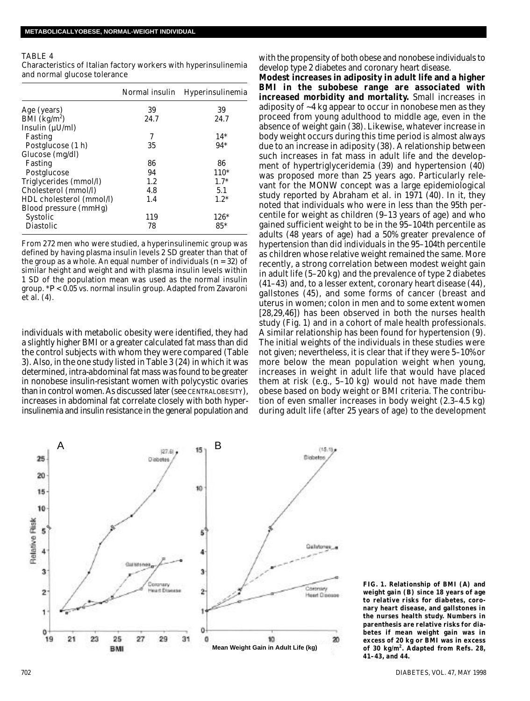#### TABLE 4

Characteristics of Italian factory workers with hyperinsulinemia and normal glucose tolerance

|                                       | Normal insulin | Hyperinsulinemia |
|---------------------------------------|----------------|------------------|
| Age (years)                           | 39             | 39               |
| $\overline{BMI}$ (kg/m <sup>2</sup> ) | 24.7           | 24.7             |
| Insulin (µU/ml)                       |                |                  |
| Fasting                               | 7              | $14*$            |
| Postglucose (1 h)                     | 35             | $94*$            |
| Glucose (mg/dl)                       |                |                  |
| Fasting                               | 86             | 86               |
| Postglucose                           | 94             | $110*$           |
| Triglycerides (mmol/l)                | 1.2            | $1.7*$           |
| Cholesterol (mmol/l)                  | 4.8            | 5.1              |
| HDL cholesterol (mmol/l)              | 1.4            | $1.2*$           |
| Blood pressure (mmHg)                 |                |                  |
| Systolic                              | 119            | $126*$           |
| <b>Diastolic</b>                      | 78             | $85*$            |
|                                       |                |                  |

From 272 men who were studied, a hyperinsulinemic group was defined by having plasma insulin levels 2 SD greater than that of the group as a whole. An equal number of individuals (*n* = 32) of similar height and weight and with plasma insulin levels within 1 SD of the population mean was used as the normal insulin group. \**P* < 0.05 vs. normal insulin group. Adapted from Zavaroni et al. (4).

individuals with metabolic obesity were identified, they had a slightly higher BMI or a greater calculated fat mass than did the control subjects with whom they were compared (Table 3). Also, in the one study listed in Table 3 (24) in which it was determined, intra-abdominal fat mass was found to be greater in nonobese insulin-resistant women with polycystic ovaries than in control women. As discussed later (see CENTRALOBESITY), increases in abdominal fat correlate closely with both hyperinsulinemia and insulin resistance in the general population and with the propensity of both obese and nonobese individuals to develop type 2 diabetes and coronary heart disease.

**Modest increases in adiposity in adult life and a higher BMI in the subobese range are associated with increased morbidity and mortality.** Small increases in adiposity of ~4 kg appear to occur in nonobese men as they proceed from young adulthood to middle age, even in the absence of weight gain (38). Likewise, whatever increase in body weight occurs during this time period is almost always due to an increase in adiposity (38). A relationship between such increases in fat mass in adult life and the development of hypertriglyceridemia (39) and hypertension (40) was proposed more than 25 years ago. Particularly relevant for the MONW concept was a large epidemiological study reported by Abraham et al. in 1971 (40). In it, they noted that individuals who were in less than the 95th percentile for weight as children (9–13 years of age) and who gained sufficient weight to be in the 95–104th percentile as adults (48 years of age) had a 50% greater prevalence of hypertension than did individuals in the 95–104th percentile as children whose relative weight remained the same. More recently, a strong correlation between modest weight gain in adult life (5–20 kg) and the prevalence of type 2 diabetes (41–43) and, to a lesser extent, coronary heart disease (44), gallstones (45), and some forms of cancer (breast and uterus in women; colon in men and to some extent women [28,29,46]) has been observed in both the nurses health study (Fig. 1) and in a cohort of male health professionals. A similar relationship has been found for hypertension (9). The initial weights of the individuals in these studies were not given; nevertheless, it is clear that if they were 5–10% or more below the mean population weight when young, increases in weight in adult life that would have placed them at risk (e.g., 5–10 kg) would not have made them obese based on body weight or BMI criteria. The contribution of even smaller increases in body weight (2.3–4.5 kg) during adult life (after 25 years of age) to the development



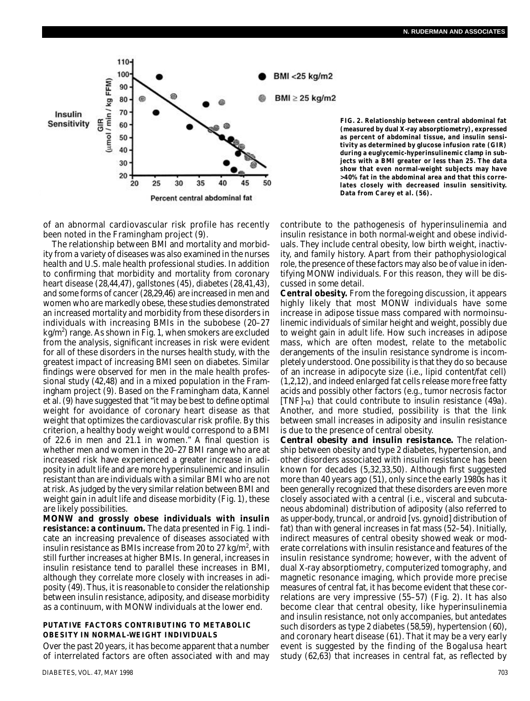

of an abnormal cardiovascular risk profile has recently been noted in the Framingham project (9).

The relationship between BMI and mortality and morbidity from a variety of diseases was also examined in the nurses health and U.S. male health professional studies. In addition to confirming that morbidity and mortality from coronary heart disease (28,44,47), gallstones (45), diabetes (28,41,43), and some forms of cancer (28,29,46) are increased in men and women who are markedly obese, these studies demonstrated an increased mortality and morbidity from these disorders in individuals with increasing BMIs in the subobese (20–27 kg/m<sup>2</sup>) range. As shown in Fig. 1, when smokers are excluded from the analysis, significant increases in risk were evident for all of these disorders in the nurses health study, with the greatest impact of increasing BMI seen on diabetes. Similar findings were observed for men in the male health professional study (42,48) and in a mixed population in the Framingham project (9). Based on the Framingham data, Kannel et al. (9) have suggested that "it may be best to define optimal weight for avoidance of coronary heart disease as that weight that optimizes the cardiovascular risk profile. By this criterion, a healthy body weight would correspond to a BMI of 22.6 in men and 21.1 in women." A final question is whether men and women in the 20–27 BMI range who are at increased risk have experienced a greater increase in adiposity in adult life and are more hyperinsulinemic and insulin resistant than are individuals with a similar BMI who are not at risk. As judged by the very similar relation between BMI and weight gain in adult life and disease morbidity (Fig. 1), these are likely possibilities.

**MONW and grossly obese individuals with insulin resistance: a continuum.** The data presented in Fig. 1 indicate an increasing prevalence of diseases associated with insulin resistance as BMIs increase from 20 to 27 kg/m<sup>2</sup>, with still further increases at higher BMIs. In general, increases in insulin resistance tend to parallel these increases in BMI, although they correlate more closely with increases in adiposity (49). Thus, it is reasonable to consider the relationship between insulin resistance, adiposity, and disease morbidity as a continuum, with MONW individuals at the lower end.

#### **PUTATIVE FACTORS CONTRIBUTING TO METABOLIC OBESITY IN NORMAL-WEIGHT INDIVIDUALS**

Over the past 20 years, it has become apparent that a number of interrelated factors are often associated with and may

BMI <25 kg/m2

 $BMl \geq 25$  kg/m2

**FIG. 2. Relationship between central abdominal fat (measured by dual X-ray absorptiometry), expressed as percent of abdominal tissue, and insulin sensitivity as determined by glucose infusion rate (GIR) during a euglycemic-hyperinsulinemic clamp in subjects with a BMI greater or less than 25. The data show that even normal-weight subjects may have >40% fat in the abdominal area and that this correlates closely with decreased insulin sensitivity. Data from Carey et al. (56).**

contribute to the pathogenesis of hyperinsulinemia and insulin resistance in both normal-weight and obese individuals. They include central obesity, low birth weight, inactivity, and family history. Apart from their pathophysiological role, the presence of these factors may also be of value in identifying MONW individuals. For this reason, they will be discussed in some detail.

**Central obesity.** From the foregoing discussion, it appears highly likely that most MONW individuals have some increase in adipose tissue mass compared with normoinsulinemic individuals of similar height and weight, possibly due to weight gain in adult life. How such increases in adipose mass, which are often modest, relate to the metabolic derangements of the insulin resistance syndrome is incompletely understood. One possibility is that they do so because of an increase in adipocyte size (i.e., lipid content/fat cell) (1,2,12), and indeed enlarged fat cells release more free fatty acids and possibly other factors (e.g., tumor necrosis factor  $[TNF]$ - $\alpha$ ) that could contribute to insulin resistance (49a). Another, and more studied, possibility is that the link between small increases in adiposity and insulin resistance is due to the presence of central obesity.

*Central obesity and insulin resistance.* The relationship between obesity and type 2 diabetes, hypertension, and other disorders associated with insulin resistance has been known for decades (5,32,33,50). Although first suggested more than 40 years ago (51), only since the early 1980s has it been generally recognized that these disorders are even more closely associated with a central (i.e., visceral and subcutaneous abdominal) distribution of adiposity (also referred to as upper-body, truncal, or android [vs. gynoid] distribution of fat) than with general increases in fat mass (52–54). Initially, indirect measures of central obesity showed weak or moderate correlations with insulin resistance and features of the insulin resistance syndrome; however, with the advent of dual X-ray absorptiometry, computerized tomography, and magnetic resonance imaging, which provide more precise measures of central fat, it has become evident that these correlations are very impressive (55–57) (Fig. 2). It has also become clear that central obesity, like hyperinsulinemia and insulin resistance, not only accompanies, but antedates such disorders as type 2 diabetes (58,59), hypertension (60), and coronary heart disease (61). That it may be a very early event is suggested by the finding of the Bogalusa heart study (62,63) that increases in central fat, as reflected by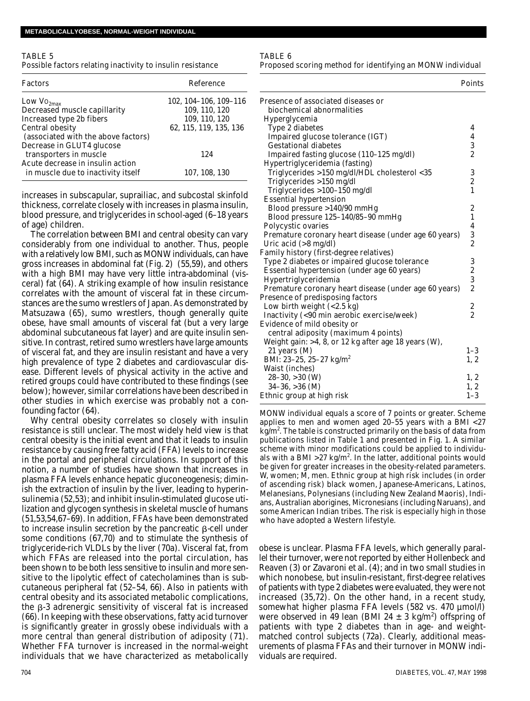#### TABLE 5 Possible factors relating inactivity to insulin resistance

| Factors                             | Reference              |
|-------------------------------------|------------------------|
| Low Vo <sub>2max</sub>              | 102, 104-106, 109-116  |
| Decreased muscle capillarity        | 109, 110, 120          |
| Increased type 2b fibers            | 109, 110, 120          |
| Central obesity                     | 62, 115, 119, 135, 136 |
| (associated with the above factors) |                        |
| Decrease in GLUT4 glucose           |                        |
| transporters in muscle              | 124                    |
| Acute decrease in insulin action    |                        |
| in muscle due to inactivity itself  | 107, 108, 130          |

increases in subscapular, suprailiac, and subcostal skinfold thickness, correlate closely with increases in plasma insulin, blood pressure, and triglycerides in school-aged (6–18 years of age) children.

The correlation between BMI and central obesity can vary considerably from one individual to another. Thus, people with a relatively low BMI, such as MONW individuals, can have gross increases in abdominal fat (Fig. 2) (55,59), and others with a high BMI may have very little intra-abdominal (visceral) fat (64). A striking example of how insulin resistance correlates with the amount of visceral fat in these circumstances are the sumo wrestlers of Japan. As demonstrated by Matsuzawa (65), sumo wrestlers, though generally quite obese, have small amounts of visceral fat (but a very large abdominal subcutaneous fat layer) and are quite insulin sensitive. In contrast, retired sumo wrestlers have large amounts of visceral fat, and they are insulin resistant and have a very high prevalence of type 2 diabetes and cardiovascular disease. Different levels of physical activity in the active and retired groups could have contributed to these findings (see below); however, similar correlations have been described in other studies in which exercise was probably not a confounding factor (64).

Why central obesity correlates so closely with insulin resistance is still unclear. The most widely held view is that central obesity is the initial event and that it leads to insulin resistance by causing free fatty acid (FFA) levels to increase in the portal and peripheral circulations. In support of this notion, a number of studies have shown that increases in plasma FFA levels enhance hepatic gluconeogenesis; diminish the extraction of insulin by the liver, leading to hyperinsulinemia (52,53); and inhibit insulin-stimulated glucose utilization and glycogen synthesis in skeletal muscle of humans (51,53,54,67–69). In addition, FFAs have been demonstrated to increase insulin secretion by the pancreatic  $\beta$ -cell under some conditions (67,70) and to stimulate the synthesis of triglyceride-rich VLDLs by the liver (70a). Visceral fat, from which FFAs are released into the portal circulation, has been shown to be both less sensitive to insulin and more sensitive to the lipolytic effect of catecholamines than is subcutaneous peripheral fat (52–54, 66). Also in patients with central obesity and its associated metabolic complications, the  $\beta$ -3 adrenergic sensitivity of visceral fat is increased (66). In keeping with these observations, fatty acid turnover is significantly greater in grossly obese individuals with a more central than general distribution of adiposity (71). Whether FFA turnover is increased in the normal-weight individuals that we have characterized as metabolically TABLE 6

Proposed scoring method for identifying an MONW individual

|                                                       | Points                                |
|-------------------------------------------------------|---------------------------------------|
| Presence of associated diseases or                    |                                       |
| biochemical abnormalities                             |                                       |
| Hyperglycemia                                         |                                       |
| Type 2 diabetes                                       | 4                                     |
| Impaired glucose tolerance (IGT)                      | 4                                     |
| <b>Gestational diabetes</b>                           | 3                                     |
| Impaired fasting glucose (110-125 mg/dl)              | $\overline{2}$                        |
| Hypertriglyceridemia (fasting)                        |                                       |
| Triglycerides >150 mg/dl/HDL cholesterol <35          | 3                                     |
| Triglycerides >150 mg/dl                              | $\begin{array}{c} 2 \\ 1 \end{array}$ |
| Triglycerides >100-150 mg/dl                          |                                       |
| <b>Essential hypertension</b>                         |                                       |
| Blood pressure >140/90 mmHg                           | 2                                     |
| Blood pressure 125-140/85-90 mmHg                     | 1                                     |
| Polycystic ovaries                                    | 4                                     |
| Premature coronary heart disease (under age 60 years) | 3                                     |
| Uric acid $($ >8 mg/dl $)$                            | $\overline{2}$                        |
| Family history (first-degree relatives)               |                                       |
| Type 2 diabetes or impaired glucose tolerance         | 3                                     |
| Essential hypertension (under age 60 years)           | $\frac{2}{3}$                         |
| Hypertriglyceridemia                                  |                                       |
| Premature coronary heart disease (under age 60 years) | $\overline{2}$                        |
| Presence of predisposing factors                      |                                       |
| Low birth weight $(< 2.5 kg)$                         | $\overline{\mathbf{c}}$               |
| Inactivity (<90 min aerobic exercise/week)            | $\overline{2}$                        |
| Evidence of mild obesity or                           |                                       |
| central adiposity (maximum 4 points)                  |                                       |
| Weight gain: >4, 8, or 12 kg after age 18 years (W),  |                                       |
| 21 years (M)                                          | $1 - 3$                               |
| BMI: 23-25, 25-27 kg/m <sup>2</sup>                   | 1, 2                                  |
| Waist (inches)                                        |                                       |
| $28 - 30, >30$ (W)                                    | 1, 2                                  |
| $34-36, >36$ (M)                                      | 1, 2                                  |
| Ethnic group at high risk                             | $1 - 3$                               |

MONW individual equals a score of 7 points or greater. Scheme applies to men and women aged 20–55 years with a BMI <27 kg/m<sup>2</sup>. The table is constructed primarily on the basis of data from publications listed in Table 1 and presented in Fig. 1. A similar scheme with minor modifications could be applied to individuals with a BMI >27 kg/m<sup>2</sup>. In the latter, additional points would be given for greater increases in the obesity-related parameters. W, women; M, men. Ethnic group at high risk includes (in order of ascending risk) black women, Japanese-Americans, Latinos, Melanesians, Polynesians (including New Zealand Maoris), Indians, Australian aborigines, Micronesians (including Naruans), and some American Indian tribes. The risk is especially high in those who have adopted a Western lifestyle.

obese is unclear. Plasma FFA levels, which generally parallel their turnover, were not reported by either Hollenbeck and Reaven (3) or Zavaroni et al. (4); and in two small studies in which nonobese, but insulin-resistant, first-degree relatives of patients with type 2 diabetes were evaluated, they were not increased (35,72). On the other hand, in a recent study, somewhat higher plasma FFA levels (582 vs. 470 µmol/l) were observed in 49 lean (BMI 24  $\pm$  3 kg/m<sup>2</sup>) offspring of patients with type 2 diabetes than in age- and weightmatched control subjects (72a). Clearly, additional measurements of plasma FFAs and their turnover in MONW individuals are required.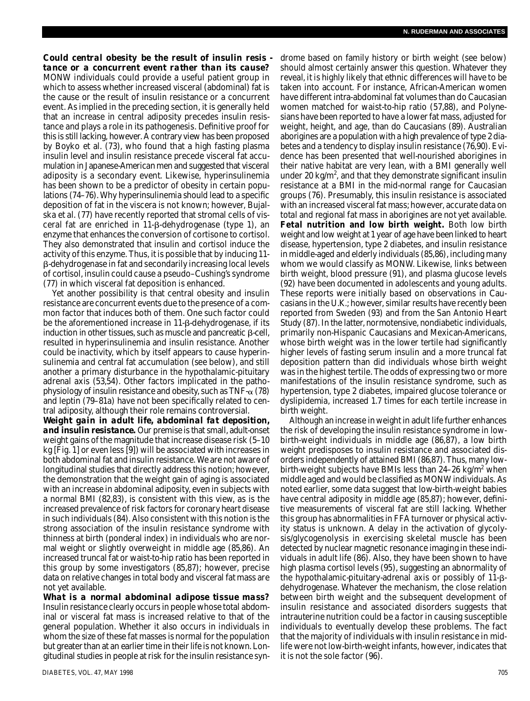*Could central obesity be the result of insulin resis tance or a concurrent event rather than its cause?* MONW individuals could provide a useful patient group in which to assess whether increased visceral (abdominal) fat is the cause or the result of insulin resistance or a concurrent event. As implied in the preceding section, it is generally held that an increase in central adiposity precedes insulin resistance and plays a role in its pathogenesis. Definitive proof for this is still lacking, however. A contrary view has been proposed by Boyko et al. (73), who found that a high fasting plasma insulin level and insulin resistance precede visceral fat accumulation in Japanese-American men and suggested that visceral adiposity is a secondary event. Likewise, hyperinsulinemia has been shown to be a predictor of obesity in certain populations (74–76). Why hyperinsulinemia should lead to a specific deposition of fat in the viscera is not known; however, Bujalska et al. (77) have recently reported that stromal cells of visceral fat are enriched in  $11 - \beta$ -dehydrogenase (type 1), an enzyme that enhances the conversion of cortisone to cortisol. They also demonstrated that insulin and cortisol induce the activity of this enzyme. Thus, it is possible that by inducing 11- -dehydrogenase in fat and secondarily increasing local levels of cortisol, insulin could cause a pseudo–Cushing's syndrome (77) in which visceral fat deposition is enhanced.

Yet another possibility is that central obesity and insulin resistance are concurrent events due to the presence of a common factor that induces both of them. One such factor could be the aforementioned increase in  $11 - \beta$ -dehydrogenase, if its induction in other tissues, such as muscle and pancreatic  $\beta$ -cell, resulted in hyperinsulinemia and insulin resistance. Another could be inactivity, which by itself appears to cause hyperinsulinemia and central fat accumulation (see below), and still another a primary disturbance in the hypothalamic-pituitary adrenal axis (53,54). Other factors implicated in the pathophysiology of insulin resistance and obesity, such as  $TNF-\alpha$  (78) and leptin (79–81a) have not been specifically related to central adiposity, although their role remains controversial.

*Weight gain in adult life, abdominal fat deposition, and insulin resistance.* Our premise is that small, adult-onset weight gains of the magnitude that increase disease risk (5–10 kg [Fig. 1] or even less [9]) will be associated with increases in both abdominal fat and insulin resistance. We are not aware of longitudinal studies that directly address this notion; however, the demonstration that the weight gain of aging is associated with an increase in abdominal adiposity, even in subjects with a normal BMI (82,83), is consistent with this view, as is the increased prevalence of risk factors for coronary heart disease in such individuals (84). Also consistent with this notion is the strong association of the insulin resistance syndrome with thinness at birth (ponderal index) in individuals who are normal weight or slightly overweight in middle age (85,86). An increased truncal fat or waist-to-hip ratio has been reported in this group by some investigators (85,87); however, precise data on relative changes in total body and visceral fat mass are not yet available.

*What is a normal abdominal adipose tissue mass?* Insulin resistance clearly occurs in people whose total abdominal or visceral fat mass is increased relative to that of the general population. Whether it also occurs in individuals in whom the size of these fat masses is normal for the population but greater than at an earlier time in their life is not known. Longitudinal studies in people at risk for the insulin resistance syndrome based on family history or birth weight (see below) should almost certainly answer this question. Whatever they reveal, it is highly likely that ethnic differences will have to be taken into account. For instance, African-American women have different intra-abdominal fat volumes than do Caucasian women matched for waist-to-hip ratio (57,88), and Polynesians have been reported to have a lower fat mass, adjusted for weight, height, and age, than do Caucasians (89). Australian aborigines are a population with a high prevalence of type 2 diabetes and a tendency to display insulin resistance (76,90). Evidence has been presented that well-nourished aborigines in their native habitat are very lean, with a BMI generally well under 20 kg/m<sup>2</sup>, and that they demonstrate significant insulin resistance at a BMI in the mid-normal range for Caucasian groups (76). Presumably, this insulin resistance is associated with an increased visceral fat mass; however, accurate data on total and regional fat mass in aborigines are not yet available. **Fetal nutrition and low birth weight.** Both low birth weight and low weight at 1 year of age have been linked to heart disease, hypertension, type 2 diabetes, and insulin resistance in middle-aged and elderly individuals (85,86), including many whom we would classify as MONW. Likewise, links between birth weight, blood pressure (91), and plasma glucose levels (92) have been documented in adolescents and young adults. These reports were initially based on observations in Caucasians in the U.K.; however, similar results have recently been reported from Sweden (93) and from the San Antonio Heart Study (87). In the latter, normotensive, nondiabetic individuals, primarily non-Hispanic Caucasians and Mexican-Americans, whose birth weight was in the lower tertile had significantly higher levels of fasting serum insulin and a more truncal fat deposition pattern than did individuals whose birth weight was in the highest tertile. The odds of expressing two or more manifestations of the insulin resistance syndrome, such as hypertension, type 2 diabetes, impaired glucose tolerance or dyslipidemia, increased 1.7 times for each tertile increase in birth weight.

Although an increase in weight in adult life further enhances the risk of developing the insulin resistance syndrome in lowbirth-weight individuals in middle age (86,87), a low birth weight predisposes to insulin resistance and associated disorders independently of attained BMI (86,87). Thus, many lowbirth-weight subjects have BMIs less than  $24-26$  kg/m<sup>2</sup> when middle aged and would be classified as MONW individuals. As noted earlier, some data suggest that low-birth-weight babies have central adiposity in middle age (85,87); however, definitive measurements of visceral fat are still lacking. Whether this group has abnormalities in FFA turnover or physical activity status is unknown. A delay in the activation of glycolysis/glycogenolysis in exercising skeletal muscle has been detected by nuclear magnetic resonance imaging in these individuals in adult life (86). Also, they have been shown to have high plasma cortisol levels (95), suggesting an abnormality of the hypothalamic-pituitary-adrenal axis or possibly of  $11-\beta$ dehydrogenase. Whatever the mechanism, the close relation between birth weight and the subsequent development of insulin resistance and associated disorders suggests that intrauterine nutrition could be a factor in causing susceptible individuals to eventually develop these problems. The fact that the majority of individuals with insulin resistance in midlife were not low-birth-weight infants, however, indicates that it is not the sole factor (96).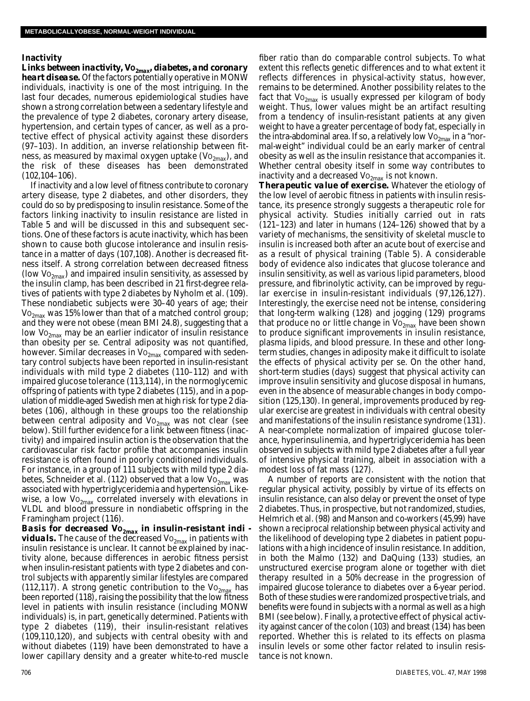#### **Inactivity**

*Links between inactivity, Vo<sub>2max</sub>, diabetes, and coronary heart disease.* Of the factors potentially operative in MONW individuals, inactivity is one of the most intriguing. In the last four decades, numerous epidemiological studies have shown a strong correlation between a sedentary lifestyle and the prevalence of type 2 diabetes, coronary artery disease, hypertension, and certain types of cancer, as well as a protective effect of physical activity against these disorders (97–103). In addition, an inverse relationship between fitness, as measured by maximal oxygen uptake (Vo $_{2\text{max}}$ ), and the risk of these diseases has been demonstrated  $(102, 104 - 106)$ .

If inactivity and a low level of fitness contribute to coronary artery disease, type 2 diabetes, and other disorders, they could do so by predisposing to insulin resistance. Some of the factors linking inactivity to insulin resistance are listed in Table 5 and will be discussed in this and subsequent sections. One of these factors is acute inactivity, which has been shown to cause both glucose intolerance and insulin resistance in a matter of days (107,108). Another is decreased fitness itself. A strong correlation between decreased fitness (low  $Vo_{2max}$ ) and impaired insulin sensitivity, as assessed by the insulin clamp, has been described in 21 first-degree relatives of patients with type 2 diabetes by Nyholm et al. (109). These nondiabetic subjects were 30–40 years of age; their  $Vo_{2max}$  was 15% lower than that of a matched control group; and they were not obese (mean BMI 24.8), suggesting that a low  $\mathrm{Vo}_{2\text{max}}$  may be an earlier indicator of insulin resistance than obesity per se. Central adiposity was not quantified, however. Similar decreases in  $Vo_{2max}$  compared with sedentary control subjects have been reported in insulin-resistant individuals with mild type 2 diabetes (110–112) and with impaired glucose tolerance (113,114), in the normoglycemic offspring of patients with type 2 diabetes (115), and in a population of middle-aged Swedish men at high risk for type 2 diabetes (106), although in these groups too the relationship between central adiposity and  $Vo_{2max}$  was not clear (see below). Still further evidence for a link between fitness (inactivity) and impaired insulin action is the observation that the cardiovascular risk factor profile that accompanies insulin resistance is often found in poorly conditioned individuals. For instance, in a group of 111 subjects with mild type 2 diabetes, Schneider et al. (112) observed that a low  $Vo_{2max}$  was associated with hypertriglyceridemia and hypertension. Likewise, a low  $Vo_{2max}$  correlated inversely with elevations in VLDL and blood pressure in nondiabetic offspring in the Framingham project (116).

*Basis for decreased Vo*<sub>2*max</sub> in insulin-resistant indi -*</sub> *viduals*. The cause of the decreased Vo<sub>2max</sub> in patients with insulin resistance is unclear. It cannot be explained by inactivity alone, because differences in aerobic fitness persist when insulin-resistant patients with type 2 diabetes and control subjects with apparently similar lifestyles are compared (112,117). A strong genetic contribution to the  $Vo_{2<sub>max</sub>}$  has been reported (118), raising the possibility that the low fitness level in patients with insulin resistance (including MONW individuals) is, in part, genetically determined. Patients with type 2 diabetes (119), their insulin-resistant relatives (109,110,120), and subjects with central obesity with and without diabetes (119) have been demonstrated to have a lower capillary density and a greater white-to-red muscle

fiber ratio than do comparable control subjects. To what extent this reflects genetic differences and to what extent it reflects differences in physical-activity status, however, remains to be determined. Another possibility relates to the fact that  $Vo_{2max}$  is usually expressed per kilogram of body weight. Thus, lower values might be an artifact resulting from a tendency of insulin-resistant patients at any given weight to have a greater percentage of body fat, especially in the intra-abdominal area. If so, a relatively low  $Vo_{2max}$  in a "normal-weight" individual could be an early marker of central obesity as well as the insulin resistance that accompanies it. Whether central obesity itself in some way contributes to inactivity and a decreased  $Vo_{2max}$  is not known.

*Therapeutic value of exercise.* Whatever the etiology of the low level of aerobic fitness in patients with insulin resistance, its presence strongly suggests a therapeutic role for physical activity. Studies initially carried out in rats (121–123) and later in humans (124–126) showed that by a variety of mechanisms, the sensitivity of skeletal muscle to insulin is increased both after an acute bout of exercise and as a result of physical training (Table 5). A considerable body of evidence also indicates that glucose tolerance and insulin sensitivity, as well as various lipid parameters, blood pressure, and fibrinolytic activity, can be improved by regular exercise in insulin-resistant individuals (97,126,127). Interestingly, the exercise need not be intense, considering that long-term walking (128) and jogging (129) programs that produce no or little change in  $Vo_{2max}$  have been shown to produce significant improvements in insulin resistance, plasma lipids, and blood pressure. In these and other longterm studies, changes in adiposity make it difficult to isolate the effects of physical activity per se. On the other hand, short-term studies (days) suggest that physical activity can improve insulin sensitivity and glucose disposal in humans, even in the absence of measurable changes in body composition (125,130). In general, improvements produced by regular exercise are greatest in individuals with central obesity and manifestations of the insulin resistance syndrome (131). A near-complete normalization of impaired glucose tolerance, hyperinsulinemia, and hypertriglyceridemia has been observed in subjects with mild type 2 diabetes after a full year of intensive physical training, albeit in association with a modest loss of fat mass (127).

A number of reports are consistent with the notion that regular physical activity, possibly by virtue of its effects on insulin resistance, can also delay or prevent the onset of type 2 diabetes. Thus, in prospective, but not randomized, studies, Helmrich et al. (98) and Manson and co-workers (45,99) have shown a reciprocal relationship between physical activity and the likelihood of developing type 2 diabetes in patient populations with a high incidence of insulin resistance. In addition, in both the Malmo (132) and DaQuing (133) studies, an unstructured exercise program alone or together with diet therapy resulted in a 50% decrease in the progression of impaired glucose tolerance to diabetes over a 6-year period. Both of these studies were randomized prospective trials, and benefits were found in subjects with a normal as well as a high BMI (see below). Finally, a protective effect of physical activity against cancer of the colon (103) and breast (134) has been reported. Whether this is related to its effects on plasma insulin levels or some other factor related to insulin resistance is not known.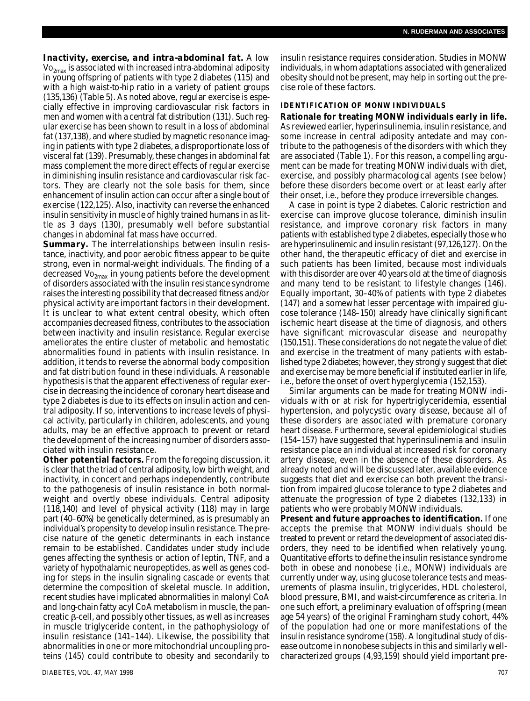*Inactivity, exercise, and intra-abdominal fat.* **A low**  $VO<sub>2max</sub>$  is associated with increased intra-abdominal adiposity in young offspring of patients with type 2 diabetes (115) and with a high waist-to-hip ratio in a variety of patient groups (135,136) (Table 5). As noted above, regular exercise is especially effective in improving cardiovascular risk factors in men and women with a central fat distribution (131). Such regular exercise has been shown to result in a loss of abdominal fat (137,138), and where studied by magnetic resonance imaging in patients with type 2 diabetes, a disproportionate loss of visceral fat (139). Presumably, these changes in abdominal fat mass complement the more direct effects of regular exercise in diminishing insulin resistance and cardiovascular risk factors. They are clearly not the sole basis for them, since enhancement of insulin action can occur after a single bout of exercise (122,125). Also, inactivity can reverse the enhanced insulin sensitivity in muscle of highly trained humans in as little as 3 days (130), presumably well before substantial changes in abdominal fat mass have occurred.

**Summary.** The interrelationships between insulin resistance, inactivity, and poor aerobic fitness appear to be quite strong, even in normal-weight individuals. The finding of a decreased  $Vo_{2max}$  in young patients before the development of disorders associated with the insulin resistance syndrome raises the interesting possibility that decreased fitness and/or physical activity are important factors in their development. It is unclear to what extent central obesity, which often accompanies decreased fitness, contributes to the association between inactivity and insulin resistance. Regular exercise ameliorates the entire cluster of metabolic and hemostatic abnormalities found in patients with insulin resistance. In addition, it tends to reverse the abnormal body composition and fat distribution found in these individuals. A reasonable hypothesis is that the apparent effectiveness of regular exercise in decreasing the incidence of coronary heart disease and type 2 diabetes is due to its effects on insulin action and central adiposity. If so, interventions to increase levels of physical activity, particularly in children, adolescents, and young adults, may be an effective approach to prevent or retard the development of the increasing number of disorders associated with insulin resistance.

**Other potential factors.** From the foregoing discussion, it is clear that the triad of central adiposity, low birth weight, and in activity, in concert and perhaps independently, contribute to the pathogenesis of insulin resistance in both normalweight and overtly obese individuals. Central adiposity (118,140) and level of physical activity (118) may in large part (40–60%) be genetically determined, as is presumably an in dividual's propensity to develop insulin resistance. The precise nature of the genetic determinants in each instance remain to be established. Candidates under study include genes affecting the synthesis or action of leptin, TNF, and a variety of hypothalamic neuropeptides, as well as genes coding for steps in the insulin signaling cascade or events that determine the composition of skeletal muscle. In addition, recent studies have implicated abnormalities in malonyl CoA and long-chain fatty acyl CoA metabolism in muscle, the pan $c$ reatic  $\beta$ -cell, and possibly other tissues, as well as increases in muscle triglyceride content, in the pathophysiology of insulin resistance (141–144). Likewise, the possibility that abnormalities in one or more mitochondrial uncoupling proteins (145) could contribute to obesity and secondarily to

insulin resistance requires consideration. Studies in MONW individuals, in whom adaptations associated with generalized obesity should not be present, may help in sorting out the precise role of these factors.

## **IDENTIFICATION OF MONW INDIVIDUALS**

**Rationale for treating MONW individuals early in life.** As reviewed earlier, hyperinsulinemia, insulin resistance, and some increase in central adiposity antedate and may contribute to the pathogenesis of the disorders with which they are associated (Table 1). For this reason, a compelling argument can be made for treating MONW individuals with diet, exercise, and possibly pharmacological agents (see below) before these disorders become overt or at least early after their onset, i.e., before they produce irreversible changes.

A case in point is type 2 diabetes. Caloric restriction and exercise can improve glucose tolerance, diminish insulin resistance, and improve coronary risk factors in many patients with established type 2 diabetes, especially those who are hyperinsulinemic and insulin resistant (97,126,127). On the other hand, the therapeutic efficacy of diet and exercise in such patients has been limited, because most individuals with this disorder are over 40 years old at the time of diagnosis and many tend to be resistant to lifestyle changes (146). Equally important, 30–40% of patients with type 2 diabetes (147) and a somewhat lesser percentage with impaired glucose tolerance (148–150) already have clinically significant ischemic heart disease at the time of diagnosis, and others have significant microvascular disease and neuropathy (150,151). These considerations do not negate the value of diet and exercise in the treatment of many patients with established type 2 diabetes; however, they strongly suggest that diet and exercise may be more beneficial if instituted earlier in life, i.e., before the onset of overt hyperglycemia (152,153).

Similar arguments can be made for treating MONW individuals with or at risk for hypertriglyceridemia, essential hypertension, and polycystic ovary disease, because all of these disorders are associated with premature coronary heart disease. Furthermore, several epidemiological studies (154–157) have suggested that hyperinsulinemia and insulin resistance place an individual at increased risk for coronary artery disease, even in the absence of these disorders. As already noted and will be discussed later, available evidence suggests that diet and exercise can both prevent the transition from impaired glucose tolerance to type 2 diabetes and attenuate the progression of type 2 diabetes (132,133) in patients who were probably MONW individuals.

**Present and future approaches to identification.** If one accepts the premise that MONW individuals should be treated to prevent or retard the development of associated disorders, they need to be identified when relatively young. Quantitative efforts to define the insulin resistance syndrome both in obese and nonobese (i.e., MONW) individuals are currently under way, using glucose tolerance tests and measurements of plasma insulin, triglycerides, HDL cholesterol, blood pressure, BMI, and waist-circumference as criteria. In one such effort, a preliminary evaluation of offspring (mean age 54 years) of the original Framingham study cohort, 44% of the population had one or more manifestations of the insulin resistance syndrome (158). A longitudinal study of disease outcome in nonobese subjects in this and similarly wellcharacterized groups (4,93,159) should yield important pre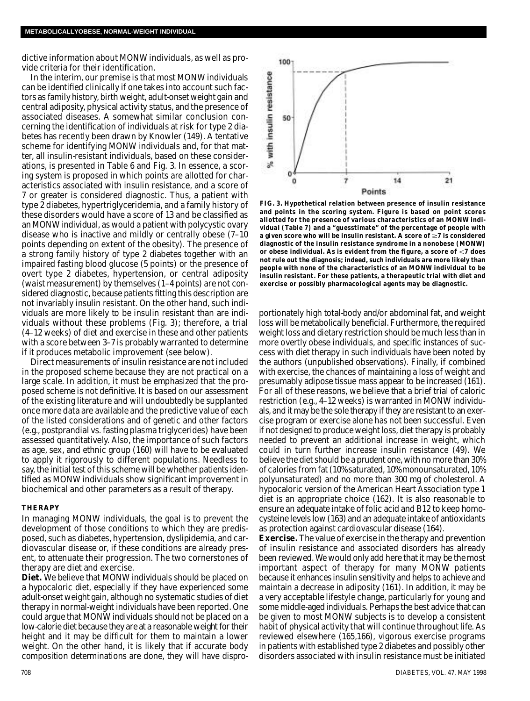dictive information about MONW individuals, as well as provide criteria for their identification.

In the interim, our premise is that most MONW individuals can be identified clinically if one takes into account such factors as family history, birth weight, adult-onset weight gain and central adiposity, physical activity status, and the presence of associated diseases. A somewhat similar conclusion concerning the identification of individuals at risk for type 2 diabetes has recently been drawn by Knowler (149). A tentative scheme for identifying MONW individuals and, for that matter, all insulin-resistant individuals, based on these considerations, is presented in Table 6 and Fig. 3. In essence, a scoring system is proposed in which points are allotted for characteristics associated with insulin resistance, and a score of 7 or greater is considered diagnostic. Thus, a patient with type 2 diabetes, hypertriglyceridemia, and a family history of these disorders would have a score of 13 and be classified as an MONW individual, as would a patient with polycystic ovary disease who is inactive and mildly or centrally obese (7–10 points depending on extent of the obesity). The presence of a strong family history of type 2 diabetes together with an impaired fasting blood glucose (5 points) or the presence of overt type 2 diabetes, hypertension, or central adiposity (waist measurement) by themselves (1–4 points) are not considered diagnostic, because patients fitting this description are not invariably insulin resistant. On the other hand, such individuals are more likely to be insulin resistant than are individuals without these problems (Fig. 3); therefore, a trial (4–12 weeks) of diet and exercise in these and other patients with a score between 3–7 is probably warranted to determine if it produces metabolic improvement (see below).

Direct measurements of insulin resistance are not included in the proposed scheme because they are not practical on a large scale. In addition, it must be emphasized that the proposed scheme is not definitive. It is based on our assessment of the existing literature and will undoubtedly be supplanted once more data are available and the predictive value of each of the listed considerations and of genetic and other factors (e.g., postprandial vs. fasting plasma triglycerides) have been assessed quantitatively. Also, the importance of such factors as age, sex, and ethnic group (160) will have to be evaluated to apply it rigorously to different populations. Needless to say, the initial test of this scheme will be whether patients identified as MONW individuals show significant improvement in biochemical and other parameters as a result of therapy.

#### **T H E R A P Y**

In managing MONW individuals, the goal is to prevent the development of those conditions to which they are predisposed, such as diabetes, hypertension, dyslipidemia, and cardiovascular disease or, if these conditions are already present, to attenuate their progression. The two cornerstones of therapy are diet and exercise.

**Diet.** We believe that MONW individuals should be placed on a hypocaloric diet, especially if they have experienced some adult-onset weight gain, although no systematic studies of diet therapy in normal-weight individuals have been reported. One could argue that MONW individuals should not be placed on a low-calorie diet because they are at a reasonable weight for their height and it may be difficult for them to maintain a lower weight. On the other hand, it is likely that if accurate body composition determinations are done, they will have dispro-



**FIG. 3. Hypothetical relation between presence of insulin resistance and points in the scoring system. Figure is based on point scores allotted for the presence of various characteristics of an MONW individual (Table 7) and a "guesstimate" of the percentage of people with a given score who will be insulin resistant. A score of ≥7 is considered diagnostic of the insulin resistance syndrome in a nonobese (MONW)** or obese individual. As is evident from the figure, a score of <7 does **not rule out the diagnosis; indeed, such individuals are more likely than people with none of the characteristics of an MONW individual to be insulin resistant. For these patients, a therapeutic trial with diet and exercise or possibly pharmacological agents may be diagnostic.**

portionately high total-body and/or abdominal fat, and weight loss will be metabolically beneficial. Furthermore, the required weight loss and dietary restriction should be much less than in more overtly obese individuals, and specific instances of success with diet therapy in such individuals have been noted by the authors (unpublished observations). Finally, if combined with exercise, the chances of maintaining a loss of weight and presumably adipose tissue mass appear to be increased (161). For all of these reasons, we believe that a brief trial of caloric restriction (e.g., 4–12 weeks) is warranted in MONW individuals, and it may be the sole therapy if they are resistant to an exercise program or exercise alone has not been successful. Even if not designed to produce weight loss, diet therapy is probably needed to prevent an additional increase in weight, which could in turn further increase insulin resistance (49). We believe the diet should be a prudent one, with no more than 30% of calories from fat (10% saturated, 10% monounsaturated, 10% polyunsaturated) and no more than 300 mg of cholesterol. A hypocaloric version of the American Heart Association type 1 diet is an appropriate choice (162). It is also reasonable to ensure an adequate intake of folic acid and B12 to keep homocysteine levels low (163) and an adequate intake of antioxidants as protection against cardiovascular disease (164).

**Exercise.** The value of exercise in the therapy and prevention of insulin resistance and associated disorders has already been reviewed. We would only add here that it may be the most important aspect of therapy for many MONW patients because it enhances insulin sensitivity and helps to achieve and maintain a decrease in adiposity (161). In addition, it may be a very acceptable lifestyle change, particularly for young and some middle-aged individuals. Perhaps the best advice that can be given to most MONW subjects is to develop a consistent habit of physical activity that will continue throughout life. As reviewed elsewhere (165,166), vigorous exercise programs in patients with established type 2 diabetes and possibly other disorders associated with insulin resistance must be initiated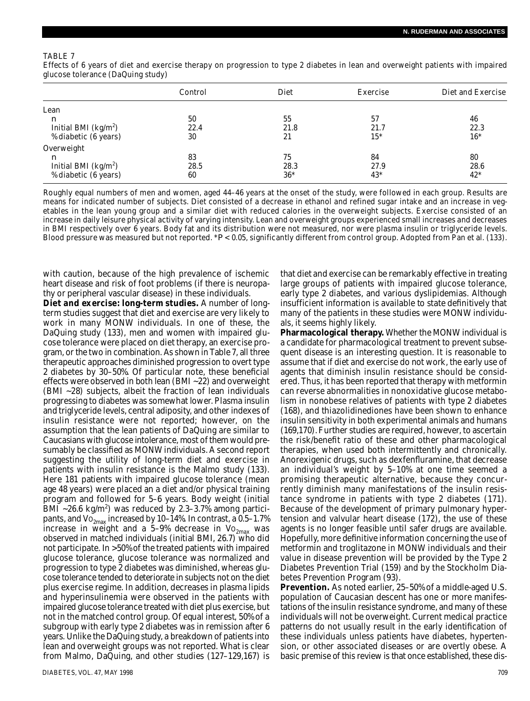#### TABLE 7

Effects of 6 years of diet and exercise therapy on progression to type 2 diabetes in lean and overweight patients with impaired glucose tolerance (DaQuing study)

|                                 | Control | Diet  | Exercise | Diet and Exercise |
|---------------------------------|---------|-------|----------|-------------------|
| Lean                            |         |       |          |                   |
| $\boldsymbol{n}$                | 50      | 55    | 57       | 46                |
| Initial BMI ( $kg/m2$ )         | 22.4    | 21.8  | 21.7     | 22.3              |
| % diabetic (6 years)            | 30      | 21    | 15*      | $16*$             |
| Overweight                      |         |       |          |                   |
| n                               | 83      | 75    | 84       | 80                |
| Initial BMI ( $\text{kg/m}^2$ ) | 28.5    | 28.3  | 27.9     | 28.6              |
| % diabetic (6 years)            | 60      | $36*$ | $43*$    | $42^*$            |

Roughly equal numbers of men and women, aged 44–46 years at the onset of the study, were followed in each group. Results are means for indicated number of subjects. Diet consisted of a decrease in ethanol and refined sugar intake and an increase in vegetables in the lean young group and a similar diet with reduced calories in the overweight subjects. Exercise consisted of an increase in daily leisure physical activity of varying intensity. Lean and overweight groups experienced small increases and decreases in BMI respectively over 6 years. Body fat and its distribution were not measured, nor were plasma insulin or triglyceride levels. Blood pressure was measured but not reported. *\*P* < 0.05, significantly different from control group. Adopted from Pan et al. (133).

with caution, because of the high prevalence of ischemic heart disease and risk of foot problems (if there is neuropathy or peripheral vascular disease) in these individuals.

**Diet and exercise: long-term studies.** A number of longterm studies suggest that diet and exercise are very likely to work in many MONW individuals. In one of these, the DaQuing study (133), men and women with impaired glucose tolerance were placed on diet therapy, an exercise program, or the two in combination. As shown in Table 7, all three therapeutic approaches diminished progression to overt type 2 diabetes by 30-50%. Of particular note, these beneficial effects were observed in both lean (BMI ~22) and overweight (BMI ~28) subjects, albeit the fraction of lean individuals progressing to diabetes was somewhat lower. Plasma insulin and triglyceride levels, central adiposity, and other indexes of insulin resistance were not reported; however, on the assumption that the lean patients of DaQuing are similar to Caucasians with glucose intolerance, most of them would presumably be classified as MONW individuals. A second report suggesting the utility of long-term diet and exercise in patients with insulin resistance is the Malmo study (133). Here 181 patients with impaired glucose tolerance (mean age 48 years) were placed an a diet and/or physical training program and followed for 5–6 years. Body weight (initial BMI ~26.6 kg/m<sup>2</sup>) was reduced by 2.3-3.7% among participants, and  $Vo_{2max}$  increased by 10–14%. In contrast, a 0.5–1.7% increase in weight and a 5–9% decrease in  $Vo_{2max}$  was observed in matched individuals (initial BMI, 26.7) who did not participate. In >50% of the treated patients with impaired glucose tolerance, glucose tolerance was normalized and progression to type 2 diabetes was diminished, whereas glucose tolerance tended to deteriorate in subjects not on the diet plus exercise regime. In addition, decreases in plasma lipids and hyperinsulinemia were observed in the patients with impaired glucose tolerance treated with diet plus exercise, but not in the matched control group. Of equal interest, 50% of a subgroup with early type 2 diabetes was in remission after 6 years. Unlike the DaQuing study, a breakdown of patients into lean and overweight groups was not reported. What is clear from Malmo, DaQuing, and other studies (127–129,167) is

that diet and exercise can be remarkably effective in treating large groups of patients with impaired glucose tolerance, early type 2 diabetes, and various dyslipidemias. Although insufficient information is available to state definitively that many of the patients in these studies were MONW individuals, it seems highly likely.

**Pharmacological therapy.** Whether the MONW individual is a candidate for pharmacological treatment to prevent subsequent disease is an interesting question. It is reasonable to assume that if diet and exercise do not work, the early use of agents that diminish insulin resistance should be considered. Thus, it has been reported that therapy with metformin can reverse abnormalities in nonoxidative glucose metabolism in nonobese relatives of patients with type 2 diabetes (168), and thiazolidinediones have been shown to enhance insulin sensitivity in both experimental animals and humans (169,170). Further studies are required, however, to ascertain the risk/benefit ratio of these and other pharmacological therapies, when used both intermittently and chronically. Anorexigenic drugs, such as dexfenfluramine, that decrease an individual's weight by 5–10% at one time seemed a promising therapeutic alternative, because they concurrently diminish many manifestations of the insulin resistance syndrome in patients with type 2 diabetes (171). Because of the development of primary pulmonary hypertension and valvular heart disease (172), the use of these agents is no longer feasible until safer drugs are available. Hopefully, more definitive information concerning the use of metformin and troglitazone in MONW individuals and their value in disease prevention will be provided by the Type 2 Diabetes Prevention Trial (159) and by the Stockholm Diabetes Prevention Program (93).

**Prevention.** As noted earlier, 25–50% of a middle-aged U.S. population of Caucasian descent has one or more manifestations of the insulin resistance syndrome, and many of these individuals will not be overweight. Current medical practice patterns do not usually result in the early identification of these individuals unless patients have diabetes, hypertension, or other associated diseases or are overtly obese. A basic premise of this review is that once established, these dis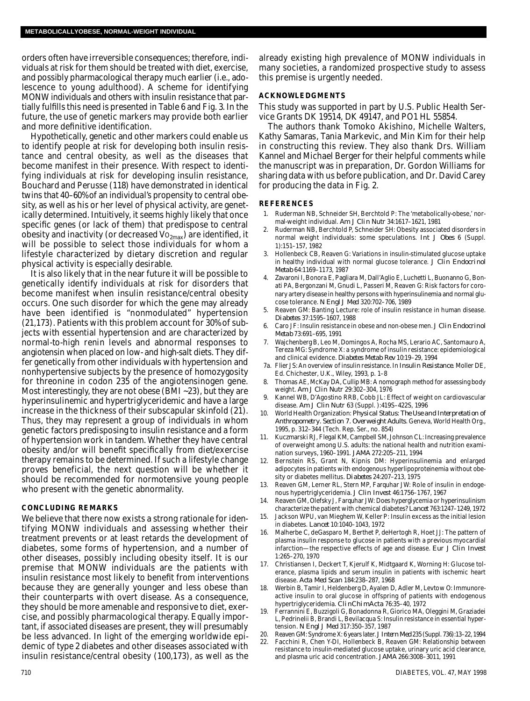orders often have irreversible consequences; therefore, individuals at risk for them should be treated with diet, exercise, and possibly pharmacological therapy much earlier (i.e., adolescence to young adulthood). A scheme for identifying MONW individuals and others with insulin resistance that partially fulfills this need is presented in Table 6 and Fig. 3. In the future, the use of genetic markers may provide both earlier and more definitive identification.

Hypothetically, genetic and other markers could enable us to identify people at risk for developing both insulin resistance and central obesity, as well as the diseases that become manifest in their presence. With respect to identifying individuals at risk for developing insulin resistance, Bouchard and Perusse (118) have demonstrated in identical twins that 40–60% of an individual's propensity to central obesity, as well as his or her level of physical activity, are genetically determined. Intuitively, it seems highly likely that once specific genes (or lack of them) that predispose to central obesity and inactivity (or decreased  $Vo_{2max}$ ) are identified, it will be possible to select those individuals for whom a lifestyle characterized by dietary discretion and regular physical activity is especially desirable.

It is also likely that in the near future it will be possible to genetically identify individuals at risk for disorders that become manifest when insulin resistance/central obesity occurs. One such disorder for which the gene may already have been identified is "nonmodulated" hypertension (21,173). Patients with this problem account for 30% of subjects with essential hypertension and are characterized by normal-to-high renin levels and abnormal responses to angiotensin when placed on low- and high-salt diets. They differ genetically from other individuals with hypertension and nonhypertensive subjects by the presence of homozygosity for threonine in codon 235 of the angiotensinogen gene. Most interestingly, they are not obese (BMI ~23), but they are hyperinsulinemic and hypertriglyceridemic and have a large increase in the thickness of their subscapular skinfold (21). Thus, they may represent a group of individuals in whom genetic factors predisposing to insulin resistance and a form of hypertension work in tandem. Whether they have central obesity and/or will benefit specifically from diet/exercise therapy remains to be determined. If such a lifestyle change proves beneficial, the next question will be whether it should be recommended for normotensive young people who present with the genetic abnormality.

## **CONCLUDING REMARKS**

We believe that there now exists a strong rationale for identifying MONW individuals and assessing whether their treatment prevents or at least retards the development of diabetes, some forms of hypertension, and a number of other diseases, possibly including obesity itself. It is our premise that MONW individuals are the patients with insulin resistance most likely to benefit from interventions because they are generally younger and less obese than their counterparts with overt disease. As a consequence, they should be more amenable and responsive to diet, exercise, and possibly pharmacological therapy. Equally important, if associated diseases are present, they will presumably be less advanced. In light of the emerging worldwide epidemic of type 2 diabetes and other diseases associated with insulin resistance/central obesity (100,173), as well as the

already existing high prevalence of MONW individuals in many societies, a randomized prospective study to assess this premise is urgently needed.

#### **ACKNOWLEDGMENTS**

This study was supported in part by U.S. Public Health Service Grants DK 19514, DK 49147, and PO1 HL 55854.

The authors thank Tomoko Akishino, Michelle Walters, Kathy Samaras, Tania Markevic, and Min Kim for their help in constructing this review. They also thank Drs. William Kannel and Michael Berger for their helpful comments while the manuscript was in preparation, Dr. Gordon Williams for sharing data with us before publication, and Dr. David Carey for producing the data in Fig. 2.

## **R E F E R E N C E S**

- 1 . Ruderman NB, Schneider SH, Berchtold P: The 'metabolically-obese,' normal-weight individual. *Am J Clin Nutr* 34:1617–1621, 1981
- 2. Ruderman NB, Berchtold P, Schneider SH: Obesity associated disorders in normal weight individuals: some speculations. *Int J Obes* 6 (Suppl. 1):151–157, 1982
- 3 . Hollenbeck CB, Reaven G: Variations in insulin-stimulated glucose uptake in healthy individual with normal glucose tolerance. *J Clin Endocrinol Metab* 64:1169–1173, 1987
- Zavaroni I, Bonora E, Pagliara M, Dall'Aglio E, Luchetti L, Buonanno G, Bonati PA, Bergonzani M, Gnudi L, Passeri M, Reaven G: Risk factors for coronary artery disease in healthy persons with hyperinsulinemia and normal glucose tolerance. *N Engl J Med* 320:702–706, 1989
- 5 . Reaven GM: Banting Lecture: role of insulin resistance in human disease. *D i a b e t e s* 37:1595–1607, 1988
- 6 . Caro JF: Insulin resistance in obese and non-obese men. *J Clin Endocrinol Metab* 73:691–695, 1991
- 7. Wajchenberg B, Leo M, Domingos A, Rocha MS, Lerario AC, Santomauro A, Tereza MG: Syndrome X: a syndrome of insulin resistance: epidemiological and clinical evidence. *Diabetes Metab Rev* 10:19–29, 1994
- 7 a . Flier JS: An overview of insulin resistance. In *Insulin Resistance.* Moller DE, Ed. Chichester, U.K., Wiley, 1993, p. 1-8
- 8. Thomas AE, McKay DA, Cullip MB: A nomograph method for assessing body weight. *Am J Clin Nutr* 29:302–304, 1976
- Kannel WB, D'Agostino RRB, Cobb JL: Effect of weight on cardiovascular disease. *Am J Clin Nutr* 63 (Suppl. ):419S–422S, 1996
- 1 0 . World Health Organization: *Physical Status: The Use and Interpretation of* Anthropometry. Section 7. Overweight Adults. Geneva, World Health Org., 1995, p. 312–344 (Tech. Rep. Ser., no. 854)
- 11. Kuczmarski RJ, Flegal KM, Campbell SM, Johnson CL: Increasing prevalence of overweight among U.S. adults: the national health and nutrition examination surveys, 1960-1991. *JAMA* 272:205-211, 1994
- 12. Bernstein RS, Grant N, Kipnis DM: Hyperinsulinemia and enlarged adipocytes in patients with endogenous hyperlipoproteinemia without obesity or diabetes mellitus. *Diabetes* 24:207-213, 1975
- 13. Reaven GM, Lerner RL, Stern MP, Farquhar JW: Role of insulin in endogenous hypertriglyceridemia. *J Clin Invest* 46:1756–1767, 1967
- 14. Reaven GM, Olefsky J, Farquhar JW: Does hyperglycemia or hyperinsulinism characterize the patient with chemical diabetes? *Lancet* 763:1247-1249, 1972
- 15. Jackson WPU, van Mieghem W, Keller P: Insulin excess as the initial lesion in diabetes. *Lancet* 10:1040-1043, 1972
- Malherbe C, deGasparo M, Berthet P, deHertogh R, Hoet JJ: The pattern of plasma insulin response to glucose in patients with a previous myocardial infarction—the respective effects of age and disease. *Eur J Clin Invest* 1:265–270, 1970
- 17. Christiansen I, Deckert T, Kjerulf K, Midtgaard K, Worning H: Glucose tolerance, plasma lipids and serum insulin in patients with ischemic heart disease. *Acta Med Scan* 184:238–287, 1968
- 18. Werbin B, Tamir I, Heldenberg D, Ayalen D, Adler M, Levtow O: Immunoreactive insulin to oral glucose in offspring of patients with endogenous hypertriglyceridemia. *ClinChimActa* 76:35-40, 1972
- 1 9 . Ferrannini E, Buzzigoli G, Bonadonna R, Giorico MA, Oleggini M, Graziadei L, Pedrinelii B, Brandi L, Bevilacqua S: Insulin resistance in essential hypertension. *N Engl J Med* 317:350–357, 1987
- 2 0 . Reaven GM: Syndrome X: 6 years later. *J Intern Med*235 (Suppl. 736):13–22, 1994 Facchini R, Chen Y-DI, Hollenbeck B, Reaven GM: Relationship between
- resistance to insulin-mediated glucose uptake, urinary uric acid clearance, and plasma uric acid concentration. *JAMA* 266:3008–3011, 1991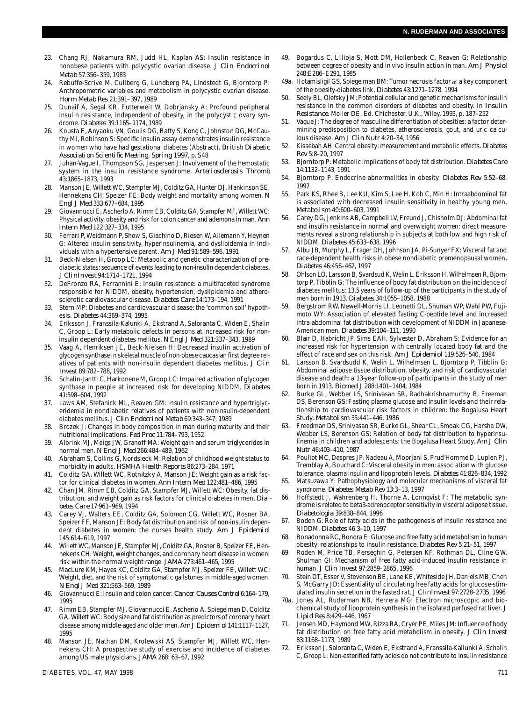- 23. Chang RJ, Nakamura RM, Judd HL, Kaplan AS: Insulin resistance in nonobese patients with polycystic ovarian disease. *J Clin Endocrinol Metab* 57:356–359, 1983
- 24. Rebuffe-Scrive M, Cullberg G, Lundberg PA, Lindstedt G, Bjorntorp P: Anthropometric variables and metabolism in polycystic ovarian disease. *Horm Metab Res* 21:391–397, 1989
- 25. Dunaif A, Segal KR, Futterweit W, Dobrjansky A: Profound peripheral insulin resistance, independent of obesity, in the polycystic ovary syndrome. *Diabetes* 39:1165-1174, 1989
- 26. Kousta E, Anyaoku VN, Goulis DG, Batty S, Kong C, Johnston DG, McCauthy MI, Robinson S: Specific insulin assay demonstrates insulin resistance in women who have had gestational diabetes (Abstract). *British Diabetic Association Scientific Meeting, Spring 1997*, p. S48
- 27. Juhan-Vague I, Thompson SG, Jespersen J: Involvement of the hemostatic system in the insulin resistance syndrome. *Arteriosclerosis Thromb* 43:1865–1873, 1993
- 28. Manson JE, Willett WC, Stampfer MJ, Colditz GA, Hunter DJ, Hankinson SE, Hennekens CH, Speizer FE: Body weight and mortality among women. *N Engl J Med* 333:677–684, 1995
- 29. Giovannucci E, Ascherlo A, Rimm EB, Colditz GA, Stampfer MF, Willett WC: Physical activity, obesity and risk for colon cancer and ademona in man. Ann *Intern Med* 122:327–334, 1995
- 30. Ferrari P, Weidmann P, Show S, Giachino D, Riesen W, Allemann Y, Heynen G: Altered insulin sensitivity, hyperinsulinemia, and dyslipidemia in individuals with a hypertensive parent. *Am J Med* 91:589–596, 1991
- 31. Beck-Nielsen H, Groop LC: Metabolic and genetic characterization of prediabetic states: sequence of events leading to non-insulin dependent diabetes. *J C l i nI n v e s t* 94:1714–1721, 1994
- 32. DeFronzo RA, Ferrannini E: Insulin resistance: a multifaceted syndrome responsible for NIDDM, obesity, hypertension, dyslipidemia and atherosclerotic cardiovascular disease. *Diabetes Care* 14:173–194, 1991
- 33. Stern MP: Diabetes and cardiovascular disease: the 'common soil' hypothesis. *Di abetes* 44:369-374, 1995
- 34. Eriksson J, Franssila-Kalunki A, Ekstrand A, Saloranta C, Widen E, Shalin C, Groop L: Early metabolic defects in persons at increased risk for noninsulin dependent diabetes mellitus. *N Engl J Med* 321:337–343, 1989
- 35. Vaag A, Henriksen JE, Beck-Nielsen H: Decreased insulin activation of glycogen synthase in skeletal muscle of non-obese caucasian first degree relatives of patients with non-insulin dependent diabetes mellitus. *J Clin I n v e s t* 89:782–788, 1992
- 36. Schalin-Jantti C, Harkonene M, Groop LC: Impaired activation of glycogen synthase in people at increased risk for developing NIDDM. Diabetes 41:598–604, 1992
- 37. Laws AM, Stefanick ML, Reaven GM: Insulin resistance and hypertriglyceridemia in nondiabetic relatives of patients with noninsulin-dependent diabetes mellitus. *J Clin Endocrinol Metab* 69:343–347, 1989
- 38. Brozek J: Changes in body composition in man during maturity and their nutritional implications. *Fed Proc* 11:784–793, 1952
- 39. Albrink MJ, Meigs JW, Granoff MA: Weight gain and serum triglycerides in normal men. *N Engl J Med* 266:484-489, 1962
- 40. Abraham S, Collins G, Nordsieck M: Relation of childhood weight status to morbidity in adults. *HSMHA Health Reports* 86:273–284, 1971
- 41. Colditz GA, Willett WC, Rotnitzky A, Manson JE: Weight gain as a risk factor for clinical diabetes in women. *Ann Intern Med* 122:481–486, 1995
- Chan JM, Rimm EB, Colditz GA, Stampfer MJ, Willett WC: Obesity, fat distribution, and weight gain as risk factors for clinical diabetes in men. *Dia betes Care* 17:961–969, 1994
- 43. Carey VJ, Walters EE, Colditz GA, Solomon CG, Willett WC, Rosner BA, Speizer FE, Manson JE: Body fat distribution and risk of non-insulin dependent diabetes in women: the nurses health study. *Am J Epidemiol* 145:614–619, 1997
- 44. Willett WC, Manson JE, Stampfer MJ, Colditz GA, Rosner B, Speizer FE, Hennekens CH: Weight, weight changes, and coronary heart disease in women: risk within the normal weight range. *JAMA* 273:461–465, 1995
- 45. MacLure KM, Hayes KC, Colditz GA, Stampfer MJ, Speizer FE, Willett WC: Weight, diet, and the risk of symptomatic gallstones in middle-aged women. *N Engl J Med* 321:563–569, 1989
- 46. Giovannucci E: Insulin and colon cancer. *Cancer Causes Control* 6:164-179, 1995
- 47. Rimm EB, Stampfer MJ, Giovannucci E, Ascherio A, Spiegelman D, Colditz GA, Willett WC: Body size and fat distribution as predictors of coronary heart disease among middle-aged and older men. Am J Epidemiol 141:1117-1127, 1995
- 48. Manson JE, Nathan DM, Krolewski AS, Stampfer MJ, Willett WC, Hennekens CH: A prospective study of exercise and incidence of diabetes among US male physicians. *JAMA* 268: 63-67, 1992
- 49. Bogardus C, Lillioja S, Mott DM, Hollenbeck C, Reaven G: Relationship between degree of obesity and in vivo insulin action in man. *Am J Physiol* 248:E286–E291, 1985
- 49a. Hotamisligil GS, Spiegelman BM: Tumor necrosis factor  $\alpha$ : a key component of the obesity-diabetes link. *Diabetes* 43:1271-1278, 1994
- Seely BL, Olefsky JM: Potential cellular and genetic mechanisms for insulin resistance in the common disorders of diabetes and obesity. In *Insulin* Resistance. Moller DE, Ed. Chichester, U.K., Wiley, 1993, p. 187-252
- 51. Vague J: The degree of masculine differentiation of obesities: a factor determining predisposition to diabetes, atherosclerosis, gout, and uric calculous disease. *Am J Clin Nutr* 4:20–34, 1956
- 52. Kissebah AH: Central obesity: measurement and metabolic effects. Diabetes *R e v* 5:8–20, 1997
- 5 3 . Bjorntorp P: Metabolic implications of body fat distribution. *Diabetes Care* 14:1132–1143, 1991
- 54. Bjorntorp P: Endocrine abnormalities in obesity. *Diabetes Rev* 5:52-68, 1997
- 55. Park KS, Rhee B, Lee KU, Kim S, Lee H, Koh C, Min H: Intraabdominal fat is associated with decreased insulin sensitivity in healthy young men. *M e t a b o l i s m* 40:600–603, 1991
- 5 6 . Carey DG, Jenkins AB, Campbell LV, Freund J, Chisholm DJ: Abdominal fat and insulin resistance in normal and overweight women: direct measurements reveal a strong relationship in subjects at both low and high risk of NIDDM. *Diabetes* 45:633-638, 1996
- Albu JB, Murphy L, Frager DH, Johnson JA, Pi-Sunyer FX: Visceral fat and race-dependent health risks in obese nondiabetic premenopausal women. *Diabetes* 46:456–462, 1997
- 5 8 . Ohlson LO, Larsson B, Svardsud K, Welin L, Eriksson H, Wilhelmsen R, Bjorntorp P, Tibblin G: The influence of body fat distribution on the incidence of diabetes mellitus: 13.5 years of follow-up of the participants in the study of men born in 1913. *Diabetes* 34:1055-1058, 1988
- 5 9 . Bergstrom RW, Newell-Morris LI, Leonetti DL, Shuman WP, Wahl PW, Fujimoto WY: Association of elevated fasting C-peptide level and increased intra-abdominal fat distribution with development of NIDDM in Japanese-American men. *Diabetes* 39:104-111, 1990
- 60. Blair D, Habricht JP, Sims EAH, Sylvester D, Abraham S: Evidence for an increased risk for hypertension with centrally located body fat and the effect of race and sex on this risk. *Am J Epidemiol* 119:526–540, 1984
- 61. Larsson B, Svardsudd K, Welin L, Wilhelmsen L, Bjorntorp P, Tibblin G: Abdominal adipose tissue distribution, obesity, and risk of cardiovascular disease and death: a 13-year follow-up of participants in the study of men born in 1913. *Biomed J* 288:1401–1404, 1984
- Burke GL, Webber LS, Srinivasan SR, Radhakrishnamurthy B, Freeman DS, Berenson GS: Fasting plasma glucose and insulin levels and their relationship to cardiovascular risk factors in children: the Bogalusa Heart Study. *Metabolism* 35:441-446, 1986
- 63. Freedman DS, Srinivasan SR, Burke GL, Shear CL, Smoak CG, Harsha DW, Webber LS, Berenson GS: Relation of body fat distribution to hyperinsulinemia in children and adolescents: the Bogalusa Heart Study. *Am J Clin N u t r* 46:403–410, 1987
- 6 4 . Pouliot MC, Despres JP, Nadeau A, Moorjani S, Prud'Homme D, Lupien PJ, Tremblay A, Bouchard C: Visceral obesity in men: association with glucose tolerance, plasma insulin and lipoprotein levels. *Diabetes* 41:826–834, 1992
- 65. Matsuzawa Y: Pathophysiology and molecular mechanisms of visceral fat syndrome. *Diabetes Metab Rev* 13:3–13, 1997
- 66. Hoffstedt J, Wahrenberg H, Thorne A, Lonnqvist F: The metabolic syndrome is related to beta3-adrenoceptor sensitivity in visceral adipose tissue. *D i a b e t o l o g i a* 39:838–844, 1996
- Boden G: Role of fatty acids in the pathogenesis of insulin resistance and NIDDM. *Diabetes* 46:3–10, 1997
- 68. Bonadonna RC, Bonora E: Glucose and free fatty acid metabolism in human obesity: relationships to insulin resistance. *Diabetes Rev* 5:21–51, 1997
- 69. Roden M, Price TB, Perseghin G, Petersen KF, Rothman DL, Cline GW, Shulman GI: Mechanism of free fatty acid-induced insulin resistance in human. *J Clin Invest* 97:2859–2865, 1996
- Stein DT, Esser V, Stevenson BE, Lane KE, Whiteside JH, Daniels MB, Chen S, McGarry JD: Essentiality of circulating free fatty acids for glucose-stimulated insulin secretion in the fasted rat. *J ClinInvest* 97:2728-2735, 1996
- 70a. Jones AL, Ruderman NB, Herrera MG: Electron microscopic and biochemical study of lipoprotein synthesis in the isolated perfused rat liver. *J Lipid Res* 8:429–446, 1967
- 71. Jensen MD, Haymond MW, Rizza RA, Cryer PE, Miles JM: Influence of body fat distribution on free fatty acid metabolism in obesity. *J Clin Invest* 83:1168–1173, 1989
- 72. Eriksson J, Saloranta C, Widen E, Ekstrand A, Franssila-Kallunki A, Schalin C, Groop L: Non-esterified fatty acids do not contribute to insulin resistance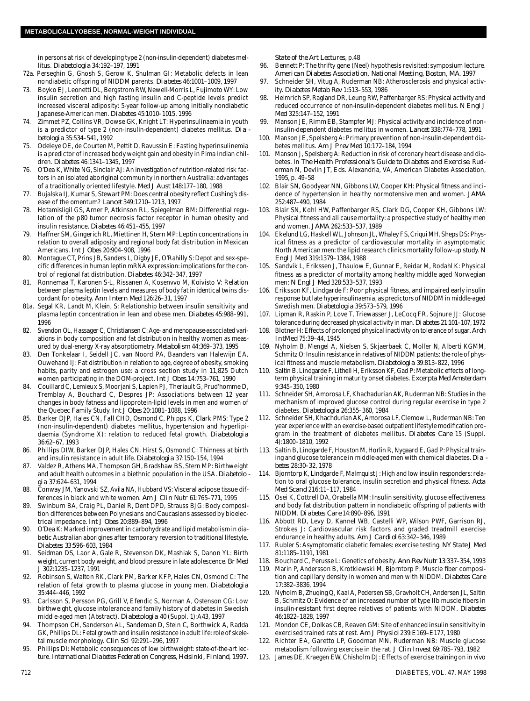in persons at risk of developing type 2 (non-insulin-dependent) diabetes mellitus. *Diabetologia* 34:192-197, 1991

- 72a. Perseghin G, Ghosh S, Gerow K, Shulman GI: Metabolic defects in lean nondiabetic offspring of NIDDM parents. *Diabetes* 46:1001-1009, 1997
- 73. Boyko EJ, Leonetti DL, Bergstrom RW, Newell-Morris L, Fujimoto WY: Low insulin secretion and high fasting insulin and C-peptide levels predict increased visceral adiposity: 5-year follow-up among initially nondiabetic Japanese-American men. *Diabetes* 45:1010–1015, 1996
- 74. Zimmet PZ, Collins VR, Dowse GK, Knight LT: Hyperinsulinaemia in youth is a predictor of type 2 (non-insulin-dependent) diabetes mellitus. *Dia b e t o l o g i a* 35:534–541, 1992
- 75. Odeleye OE, de Courten M, Pettit D, Ravussin E: Fasting hyperinsulinemia is a predictor of increased body weight gain and obesity in Pima Indian children. *D i a b e t e s* 46:1341–1345, 1997
- 76. O'Dea K, White NG, Sinclair AJ: An investigation of nutrition-related risk factors in an isolated aboriginal community in northern Australia: advantages of a traditionally oriented lifestyle. *Med J Aust* 148:177–180, 1988
- 77. Bujalska IJ, Kumar S, Stewart PM: Does central obesity reflect Cushing's disease of the omentum? Lancet 349:1210-1213, 1997
- 78. Hotamisligil GS, Arner P, Atkinson RL, Spiegelman BM: Differential regulation of the p80 tumor necrosis factor receptor in human obesity and insulin resistance. *Diabetes* 46:451-455, 1997
- 79. Haffner SM, Gingerich RL, Miettinen H, Stern MP: Leptin concentrations in relation to overall adiposity and regional body fat distribution in Mexican Americans. *Int J Obes* 20:904–908, 1996
- 80. Montague CT, Prins JB, Sanders L, Digby JE, O'Rahilly S: Depot and sex-specific differences in human leptin mRNA expression: implications for the control of regional fat distribution. *Diabetes* 46:342-347, 1997
- 81. Ronnemaa T, Karonen S-L, Rissanen A, Kosenvvo M, Koivisto V: Relation between plasma leptin levels and measures of body fat in identical twins discordant for obesity. Ann Intern Med 126:26-31, 1997
- 81a. Segal KR, Landt M, Klein, S: Relationship between insulin sensitivity and plasma leptin concentration in lean and obese men. *Diabetes* 45:988-991, 1996
- 82. Svendon OL, Hassager C, Christiansen C: Age- and menopause-associated variations in body composition and fat distribution in healthy women as measured by dual-energy X-ray absorptiometry. *Metabolism* 44:369–373, 1995
- 83. Den Tonkelaar I, Seidell JC, van Noord PA, Baanders van Halewijn EA, Ouwehand IJ: Fat distribution in relation to age, degree of obesity, smoking habits, parity and estrogen use: a cross section study in 11,825 Dutch women participating in the DOM-project. *Int J Obes* 14:753–761, 1990
- 84. Couillard C, Lemieux S, Moorjani S, Lapien PJ, Theriault G, Prud'homme D, Tremblay A, Bouchard C, Despres JP: Associations between 12 year changes in body fatness and lipoprotein-lipid levels in men and women of the Quebec Family Study. *Int J Obes* 20:1081-1088, 1996
- Barker DJP, Hales CN, Fall CHD, Osmond C, Phipps K, Clark PMS: Type 2 (non-insulin-dependent) diabetes mellitus, hypertension and hyperlipidaemia (Syndrome X): relation to reduced fetal growth. *Diabetologia* 36:62–67, 1993
- 86. Phillips DIW, Barker DJP, Hales CN, Hirst S, Osmond C: Thinness at birth and insulin resistance in adult life. *Diabetologia* 37:150-154, 1994
- 87. Valdez R, Athens MA, Thompson GH, Bradshaw BS, Stern MP: Birthweight and adult health outcomes in a biethnic population in the USA. Diabetolo *g i a* 37:624–631, 1994
- 88. Conway JM, Yanovski SZ, Avila NA, Hubbard VS: Visceral adipose tissue differences in black and white women. *Am J Clin Nutr* 61:765–771, 1995
- 89. Swinburn BA, Craig PL, Daniel R, Dent DPD, Strauss BJG: Body composition differences between Polynesians and Caucasians assessed by bioelectrical impedance. *Int J Obes* 20:889–894, 1996
- 90. O'Dea K: Marked improvement in carbohydrate and lipid metabolism in diabetic Australian aborigines after temporary reversion to traditional lifestyle. *Diabetes* 33:596–603, 1984
- 91. Seidman DS, Laor A, Gale R, Stevenson DK, Mashiak S, Danon YL: Birth weight, current body weight, and blood pressure in late adolescence. *Br Med J* 302:1235–1237, 1991
- Robinson S, Walton RK, Clark PM, Barker KFP, Hales CN, Osmond C: The relation of fetal growth to plasma glucose in young men. *Diabetologia* 35:444–446, 1992
- 93. Carlsson S, Persson PG, Grill V, Efendic S, Norman A, Ostenson CG: Low birthweight, glucose intolerance and family history of diabetes in Swedish middle-aged men (Abstract). *Diabetologia* 40 (Suppl. 1):A43, 1997
- 94. Thompson CH, Sanderson AL, Sandeman D, Stein C, Borthwick A, Radda GK, Phillips DL: Fetal growth and insulin resistance in adult life: role of skeletal muscle morphology. *Clin Sci* 92:291–296, 1997
- Phillips DI: Metabolic consequences of low birthweight: state-of-the-art lecture. *International Diabetes Federation Congress, Helsinki, Finland, 1997.*

*State of the Art Lectures*, p.48

- 96. Bennett P: The thrifty gene (Neel) hypothesis revisited: symposium lecture. American Diabetes Association, National Meeting, Boston, MA. 1997
- 97. Schneider SH, Vitug A, Ruderman NB: Atherosclerosis and physical activity. *Diabetes Metab Rev* 1:513–553, 1986
- 98. Helmrich SP, Ragland DR, Leung RW, Paffenbarger RS: Physical activity and reduced occurrence of non-insulin-dependent diabetes mellitus. *N Engl J M e d* 325:147–152, 1991
- 99. Manson JE, Rimm EB, Stampfer MJ: Physical activity and incidence of noninsulin-dependent diabetes mellitus in women. *Lancet* 338:774-778, 1991
- 100. Manson JE, Spelsberg A: Primary prevention of non-insulin-dependent diabetes mellitus. *Am J Prev Med* 10:172–184, 1994
- 101. Manson J, Spelsberg A: Reduction in risk of coronary heart disease and diabetes. In *The Health Professional's Guide to Diabetes and Exercise*. Ruderman N, Devlin JT, Eds. Alexandria, VA, American Diabetes Association, 1995, p. 49–58
- 102. Blair SN, Goodyear NN, Gibbons LW, Cooper KH: Physical fitness and incidence of hypertension in healthy normotensive men and women. JAMA 252:487–490, 1984
- 103. Blair SN, Kohl HW, Paffenbarger RS, Clark DG, Cooper KH, Gibbons LW: Physical fitness and all cause mortality: a prospective study of healthy men and women. *JAMA* 262:533–537, 1989
- 104. Ekelund LG, Haskell WL, Johnson JL, Whaley FS, Criqui MH, Sheps DS: Physical fitness as a predictor of cardiovascular mortality in asymptomatic North American men: the lipid research clinics mortality follow-up study. *N E n g l J M e d* 319:1379–1384, 1988
- 105. Sandvik L, Erikssen J, Thaulow E, Gunnar E, Reidar M, Rodahl K: Physical fitness as a predictor of mortality among healthy middle aged Norwegian men: *N Engl J Med* 328:533–537, 1993
- 106. Eriksson KF, Lindgarde F: Poor physical fitness, and impaired early insulin response but late hyperinsulinaemia, as predictors of NIDDM in middle-aged Swedish men. *Diabetologia* 39:573–579, 1996
- 107. Lipman R, Raskin P, Love T, Triewasser J, LeCocq FR, Sojnure JJ: Glucose tolerance during decreased physical activity in man. *Diabetes* 21:101–107, 1972
- 1 Blotner H: Effects of prolonged physical inactivity on tolerance of sugar. Arch *I n tM e d* 75:39–44, 1945
- 109. Nyholm B, Mengel A, Nielsen S, Skjaerbaek C, Moller N, Alberti KGMM, Schmitz O: Insulin resistance in relatives of NIDDM patients: the role of physical fitness and muscle metabolism. *Diabetologia* 39:813-822, 1996
- 110. Saltin B, Lindgarde F, Lithell H, Eriksson KF, Gad P: Metabolic effects of longterm physical training in maturity onset diabetes. *Excerpta Med Amsterdam* 9:345–350, 1980
- 111. Schneider SH, Amorosa LF, Khachadurian AK, Ruderman NB: Studies in the mechanism of improved glucose control during regular exercise in type 2 diabetes. *Diabetologia* 26:355-360, 1984
- 112. Schneider SH, Khachdurian AK, Amorosa LF, Clemow L, Ruderman NB: Ten year experience with an exercise-based outpatient lifestyle modification program in the treatment of diabetes mellitus. *Diabetes Care* 15 (Suppl. 4):1800–1810, 1992
- 113. Saltin B, Lindgarde F, Houston M, Horlin R, Nygaard E, Gad P: Physical training and glucose tolerance in middle-aged men with chemical diabetes. *Dia betes* 28:30–32, 1978
- Bjorntorp K, Lindgarde F, Malmquist J: High and low insulin responders: relation to oral glucose tolerance, insulin secretion and physical fitness. Acta *Med Scand* 216:11–117, 1984
- 115. Osei K, Cottrell DA, Orabella MM: Insulin sensitivity, glucose effectiveness and body fat distribution pattern in nondiabetic offspring of patients with NIDDM. *Diabetes Care* 14:890–896, 1991
- 116. Abbott RD, Levy D, Kannel WB, Castelli WP, Wilson PWF, Garrison RJ, Strokes J: Cardiovascular risk factors and graded treadmill exercise endurance in healthy adults. *Am J Cardiol* 63:342–346, 1989
- 1 1 7 . Rubler S: Asymptomatic diabetic females: exercise testing. *NY State J Med* 81:1185–1191, 1981
- 1 1 8 . Bouchard C, Perusse L: Genetics of obesity. *Ann Rev Nutr* 13:337–354, 1993
- 119. Marin P, Andersson B, Krotkiewski M, Bjorntorp P: Muscle fiber composition and capillary density in women and men with NIDDM. *Diabetes Care* 17:382–3836, 1994
- 120. Nyholm B, Zhuqing Q, Kaal A, Pedersen SB, Gravholt CH, Andersen JL, Saltin B, Schmitz O: Evidence of an increased number of type IIb muscle fibers in insulin-resistant first degree relatives of patients with NIDDM. Diabetes 46:1822–1828, 1997
- 121. Mondon CE, Dolkas CB, Reaven GM: Site of enhanced insulin sensitivity in exercised trained rats at rest. *Am J Physiol* 239:E169–E177, 1980
- 122. Richter EA, Garetto LP, Goodman MN, Ruderman NB: Muscle glucose metabolism following exercise in the rat. *J Clin Invest* 69:785–793, 1982
- 123. James DE, Kraegen EW, Chisholm DJ: Effects of exercise training on in vivo